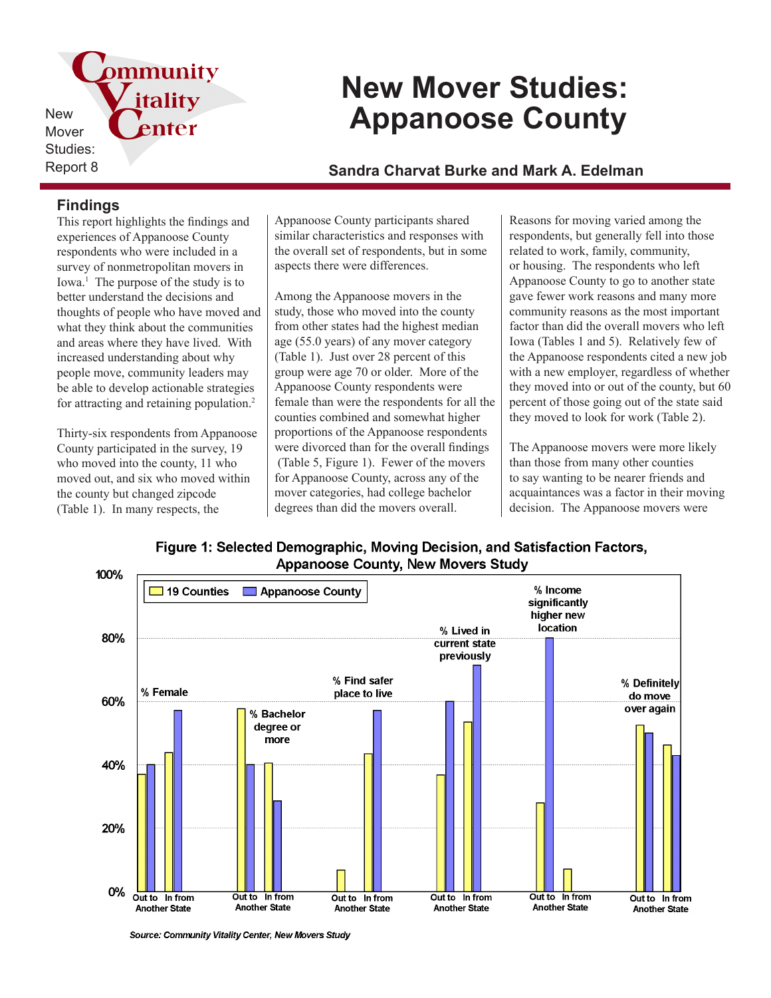pmmunity New Mover Studies:

**New Mover Studies: Appanoose County**

Report 8 **Sandra Charvat Burke and Mark A. Edelman**

## **Findings**

This report highlights the findings and experiences of Appanoose County respondents who were included in a survey of nonmetropolitan movers in Iowa.<sup>1</sup> The purpose of the study is to better understand the decisions and thoughts of people who have moved and what they think about the communities and areas where they have lived. With increased understanding about why people move, community leaders may be able to develop actionable strategies for attracting and retaining population.<sup>2</sup>

itality

enter

Thirty-six respondents from Appanoose County participated in the survey, 19 who moved into the county, 11 who moved out, and six who moved within the county but changed zipcode (Table 1). In many respects, the

Appanoose County participants shared similar characteristics and responses with the overall set of respondents, but in some aspects there were differences.

Among the Appanoose movers in the study, those who moved into the county from other states had the highest median age (55.0 years) of any mover category (Table 1). Just over 28 percent of this group were age 70 or older. More of the Appanoose County respondents were female than were the respondents for all the counties combined and somewhat higher proportions of the Appanoose respondents were divorced than for the overall findings (Table 5, Figure 1). Fewer of the movers for Appanoose County, across any of the mover categories, had college bachelor degrees than did the movers overall.

Reasons for moving varied among the respondents, but generally fell into those related to work, family, community, or housing. The respondents who left Appanoose County to go to another state gave fewer work reasons and many more community reasons as the most important factor than did the overall movers who left Iowa (Tables 1 and 5). Relatively few of the Appanoose respondents cited a new job with a new employer, regardless of whether they moved into or out of the county, but 60 percent of those going out of the state said they moved to look for work (Table 2).

The Appanoose movers were more likely than those from many other counties to say wanting to be nearer friends and acquaintances was a factor in their moving decision. The Appanoose movers were

Figure 1: Selected Demographic, Moving Decision, and Satisfaction Factors, **Appanoose County, New Movers Study** 



Source: Community Vitality Center, New Movers Study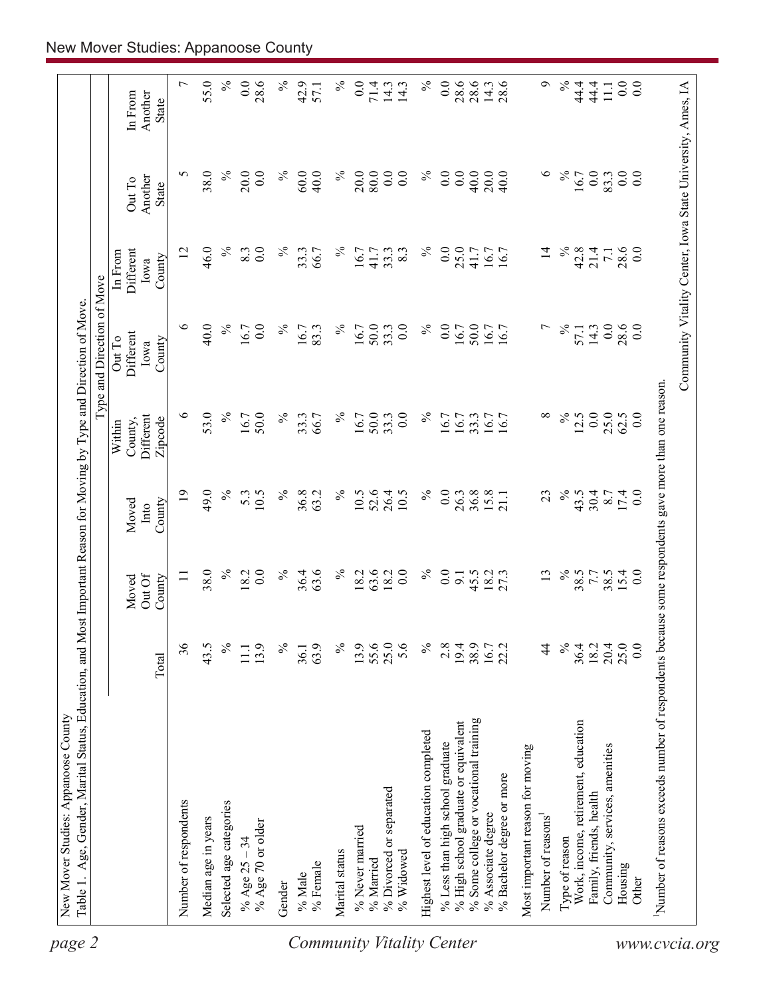| 0.0<br>38.0<br>$\%$<br>20.0<br>$\%$<br>60.0<br>$\%$<br>20.0<br>0.0<br>0.0<br>$\%$<br>0.0<br>0.0<br>$\circ$<br>$\%$<br>0.0<br>n<br>0.0<br>40.0<br>80.0<br>40.0<br>20.0<br>40.0<br>0.0<br>16.7<br>83.3<br>Another<br>Out To<br><b>State</b><br>46.0<br>$\%$<br>0.0<br>$\%$<br>0.0<br>$\%$<br>28.6<br>0.0<br>12<br>8.3<br>$\%$<br>8.3<br>$\%$<br>25.0<br>16.7<br>$\overline{4}$<br>42.8<br>21.4<br>33.3<br>16.7<br>33.3<br>16.7<br>Different<br>66.7<br>41.7<br>41.7<br>$\overline{71}$<br>In From<br>County<br>Iowa<br>$\%$<br>$\%$<br>$\%$<br>$\circ$<br>40.0<br>$\%$<br>0.0<br>$\%$<br>$0.0\,$<br>28.6<br>$\overline{0.0}$<br>50.0<br>$\overline{0.0}$<br>50.0<br>14.3<br>0.0<br>16.7<br>16.7<br>16.7<br>33.3<br>16.7<br>16.7<br>16.7<br>$\overline{ }$<br>57.1<br>83.3<br>Different<br>Out To<br>County<br>Iowa<br>Number of reasons exceeds number of respondents because some respondents gave more than one reason.<br>$\circ$<br>$\%$<br>53.0<br>$\%$<br>$\%$<br>0.0<br>25.0<br>$\%$<br>50.0<br>0.0<br>16.7<br>${}^{\circ}$<br>$\%$<br>0.0<br>50.0<br>33.3<br>16.7<br>33.3<br>16.7<br>33.3<br>16.7<br>16.7<br>12.5<br>62.5<br>Different<br>16.7<br>66.7<br>Zipcode<br>County,<br>Within<br>$\%$<br>$\%$<br>$\%$<br>$\%$<br>$\overline{19}$<br>49.0<br>36.8<br>52.6<br>26.4<br>$\%$<br>0.0<br>23<br>43.5<br>5.3<br>10.5<br>10.5<br>10.5<br>36.8<br>15.8<br>30.4<br>$17.4$<br>0.0<br>63.2<br>26.3<br>8.7<br>21.1<br>County<br>Moved<br>Into<br>$\%$<br>$\%$<br>$\%$<br>38.0<br>$\%$<br>63.6<br>63.6<br>0.0<br>$\%$<br>18.2<br>0.0<br>36.4<br>18.2<br>0.0<br>13<br>38.5<br>38.5<br>15.4<br>0.0<br>18.2<br>45.5<br>18.2<br>27.3<br>7.7<br>$\Box$<br>9.1<br>Out Of<br>County<br>Moved<br>36<br>$\%$<br>25.0<br>43.5<br>$\frac{5}{6}$<br>$\%$<br>$\%$<br>55.6<br>25.0<br>5.6<br>2.8<br>19.4<br>38.9<br>$\overline{4}$<br>$\approx$<br>20.4<br>0.0<br>13.9<br>63.9<br>13.9<br>16.7<br>36.4<br>18.2<br>22.2<br>11.1<br>36.1<br>Total<br>% Some college or vocational training<br>% High school graduate or equivalent<br>Work, income, retirement, education<br>Highest level of education completed<br>% Less than high school graduate<br>Community, services, amenities<br>Most important reason for moving<br>% Bachelor degree or more<br>% Divorced or separated<br>Family, friends, health<br>Number of respondents<br>Selected age categories<br>% Associate degree<br>Number of reasons<br>Median age in years<br>% Age 70 or older<br>% Never married<br>Type of reason<br>% Age $25 - 34$<br>Marital status<br>% Widowed<br>% Married<br>% Female<br>Housing<br>% Male<br>Other<br>Gender | Age, Gender, Marital Status, Education, and Most Important Reason for Moving by Type and Direction of Move. |  |  | Type and Direction of Move |  |                    |
|---------------------------------------------------------------------------------------------------------------------------------------------------------------------------------------------------------------------------------------------------------------------------------------------------------------------------------------------------------------------------------------------------------------------------------------------------------------------------------------------------------------------------------------------------------------------------------------------------------------------------------------------------------------------------------------------------------------------------------------------------------------------------------------------------------------------------------------------------------------------------------------------------------------------------------------------------------------------------------------------------------------------------------------------------------------------------------------------------------------------------------------------------------------------------------------------------------------------------------------------------------------------------------------------------------------------------------------------------------------------------------------------------------------------------------------------------------------------------------------------------------------------------------------------------------------------------------------------------------------------------------------------------------------------------------------------------------------------------------------------------------------------------------------------------------------------------------------------------------------------------------------------------------------------------------------------------------------------------------------------------------------------------------------------------------------------------------------------------------------------------------------------------------------------------------------------------------------------------------------------------------------------------------------------------------------------------------------------------------------------------------------------------------------------------------------------------------------------------------------------------------------------------------------------------------------------------------------------------|-------------------------------------------------------------------------------------------------------------|--|--|----------------------------|--|--------------------|
|                                                                                                                                                                                                                                                                                                                                                                                                                                                                                                                                                                                                                                                                                                                                                                                                                                                                                                                                                                                                                                                                                                                                                                                                                                                                                                                                                                                                                                                                                                                                                                                                                                                                                                                                                                                                                                                                                                                                                                                                                                                                                                                                                                                                                                                                                                                                                                                                                                                                                                                                                                                                   |                                                                                                             |  |  |                            |  | Another<br>In From |
|                                                                                                                                                                                                                                                                                                                                                                                                                                                                                                                                                                                                                                                                                                                                                                                                                                                                                                                                                                                                                                                                                                                                                                                                                                                                                                                                                                                                                                                                                                                                                                                                                                                                                                                                                                                                                                                                                                                                                                                                                                                                                                                                                                                                                                                                                                                                                                                                                                                                                                                                                                                                   |                                                                                                             |  |  |                            |  | <b>State</b>       |
|                                                                                                                                                                                                                                                                                                                                                                                                                                                                                                                                                                                                                                                                                                                                                                                                                                                                                                                                                                                                                                                                                                                                                                                                                                                                                                                                                                                                                                                                                                                                                                                                                                                                                                                                                                                                                                                                                                                                                                                                                                                                                                                                                                                                                                                                                                                                                                                                                                                                                                                                                                                                   |                                                                                                             |  |  |                            |  | $\overline{ }$     |
|                                                                                                                                                                                                                                                                                                                                                                                                                                                                                                                                                                                                                                                                                                                                                                                                                                                                                                                                                                                                                                                                                                                                                                                                                                                                                                                                                                                                                                                                                                                                                                                                                                                                                                                                                                                                                                                                                                                                                                                                                                                                                                                                                                                                                                                                                                                                                                                                                                                                                                                                                                                                   |                                                                                                             |  |  |                            |  | 55.0               |
|                                                                                                                                                                                                                                                                                                                                                                                                                                                                                                                                                                                                                                                                                                                                                                                                                                                                                                                                                                                                                                                                                                                                                                                                                                                                                                                                                                                                                                                                                                                                                                                                                                                                                                                                                                                                                                                                                                                                                                                                                                                                                                                                                                                                                                                                                                                                                                                                                                                                                                                                                                                                   |                                                                                                             |  |  |                            |  | $\%$               |
|                                                                                                                                                                                                                                                                                                                                                                                                                                                                                                                                                                                                                                                                                                                                                                                                                                                                                                                                                                                                                                                                                                                                                                                                                                                                                                                                                                                                                                                                                                                                                                                                                                                                                                                                                                                                                                                                                                                                                                                                                                                                                                                                                                                                                                                                                                                                                                                                                                                                                                                                                                                                   |                                                                                                             |  |  |                            |  | 0.0                |
|                                                                                                                                                                                                                                                                                                                                                                                                                                                                                                                                                                                                                                                                                                                                                                                                                                                                                                                                                                                                                                                                                                                                                                                                                                                                                                                                                                                                                                                                                                                                                                                                                                                                                                                                                                                                                                                                                                                                                                                                                                                                                                                                                                                                                                                                                                                                                                                                                                                                                                                                                                                                   |                                                                                                             |  |  |                            |  | 28.6               |
|                                                                                                                                                                                                                                                                                                                                                                                                                                                                                                                                                                                                                                                                                                                                                                                                                                                                                                                                                                                                                                                                                                                                                                                                                                                                                                                                                                                                                                                                                                                                                                                                                                                                                                                                                                                                                                                                                                                                                                                                                                                                                                                                                                                                                                                                                                                                                                                                                                                                                                                                                                                                   |                                                                                                             |  |  |                            |  | $\%$               |
|                                                                                                                                                                                                                                                                                                                                                                                                                                                                                                                                                                                                                                                                                                                                                                                                                                                                                                                                                                                                                                                                                                                                                                                                                                                                                                                                                                                                                                                                                                                                                                                                                                                                                                                                                                                                                                                                                                                                                                                                                                                                                                                                                                                                                                                                                                                                                                                                                                                                                                                                                                                                   |                                                                                                             |  |  |                            |  | 42.9               |
|                                                                                                                                                                                                                                                                                                                                                                                                                                                                                                                                                                                                                                                                                                                                                                                                                                                                                                                                                                                                                                                                                                                                                                                                                                                                                                                                                                                                                                                                                                                                                                                                                                                                                                                                                                                                                                                                                                                                                                                                                                                                                                                                                                                                                                                                                                                                                                                                                                                                                                                                                                                                   |                                                                                                             |  |  |                            |  | 57.1               |
|                                                                                                                                                                                                                                                                                                                                                                                                                                                                                                                                                                                                                                                                                                                                                                                                                                                                                                                                                                                                                                                                                                                                                                                                                                                                                                                                                                                                                                                                                                                                                                                                                                                                                                                                                                                                                                                                                                                                                                                                                                                                                                                                                                                                                                                                                                                                                                                                                                                                                                                                                                                                   |                                                                                                             |  |  |                            |  | $\%$               |
|                                                                                                                                                                                                                                                                                                                                                                                                                                                                                                                                                                                                                                                                                                                                                                                                                                                                                                                                                                                                                                                                                                                                                                                                                                                                                                                                                                                                                                                                                                                                                                                                                                                                                                                                                                                                                                                                                                                                                                                                                                                                                                                                                                                                                                                                                                                                                                                                                                                                                                                                                                                                   |                                                                                                             |  |  |                            |  | 0.0                |
|                                                                                                                                                                                                                                                                                                                                                                                                                                                                                                                                                                                                                                                                                                                                                                                                                                                                                                                                                                                                                                                                                                                                                                                                                                                                                                                                                                                                                                                                                                                                                                                                                                                                                                                                                                                                                                                                                                                                                                                                                                                                                                                                                                                                                                                                                                                                                                                                                                                                                                                                                                                                   |                                                                                                             |  |  |                            |  | 71.4               |
|                                                                                                                                                                                                                                                                                                                                                                                                                                                                                                                                                                                                                                                                                                                                                                                                                                                                                                                                                                                                                                                                                                                                                                                                                                                                                                                                                                                                                                                                                                                                                                                                                                                                                                                                                                                                                                                                                                                                                                                                                                                                                                                                                                                                                                                                                                                                                                                                                                                                                                                                                                                                   |                                                                                                             |  |  |                            |  | 14.3               |
|                                                                                                                                                                                                                                                                                                                                                                                                                                                                                                                                                                                                                                                                                                                                                                                                                                                                                                                                                                                                                                                                                                                                                                                                                                                                                                                                                                                                                                                                                                                                                                                                                                                                                                                                                                                                                                                                                                                                                                                                                                                                                                                                                                                                                                                                                                                                                                                                                                                                                                                                                                                                   |                                                                                                             |  |  |                            |  | 14.3               |
|                                                                                                                                                                                                                                                                                                                                                                                                                                                                                                                                                                                                                                                                                                                                                                                                                                                                                                                                                                                                                                                                                                                                                                                                                                                                                                                                                                                                                                                                                                                                                                                                                                                                                                                                                                                                                                                                                                                                                                                                                                                                                                                                                                                                                                                                                                                                                                                                                                                                                                                                                                                                   |                                                                                                             |  |  |                            |  | $\%$               |
|                                                                                                                                                                                                                                                                                                                                                                                                                                                                                                                                                                                                                                                                                                                                                                                                                                                                                                                                                                                                                                                                                                                                                                                                                                                                                                                                                                                                                                                                                                                                                                                                                                                                                                                                                                                                                                                                                                                                                                                                                                                                                                                                                                                                                                                                                                                                                                                                                                                                                                                                                                                                   |                                                                                                             |  |  |                            |  | 0.0                |
|                                                                                                                                                                                                                                                                                                                                                                                                                                                                                                                                                                                                                                                                                                                                                                                                                                                                                                                                                                                                                                                                                                                                                                                                                                                                                                                                                                                                                                                                                                                                                                                                                                                                                                                                                                                                                                                                                                                                                                                                                                                                                                                                                                                                                                                                                                                                                                                                                                                                                                                                                                                                   |                                                                                                             |  |  |                            |  | 28.6               |
|                                                                                                                                                                                                                                                                                                                                                                                                                                                                                                                                                                                                                                                                                                                                                                                                                                                                                                                                                                                                                                                                                                                                                                                                                                                                                                                                                                                                                                                                                                                                                                                                                                                                                                                                                                                                                                                                                                                                                                                                                                                                                                                                                                                                                                                                                                                                                                                                                                                                                                                                                                                                   |                                                                                                             |  |  |                            |  | 28.6               |
|                                                                                                                                                                                                                                                                                                                                                                                                                                                                                                                                                                                                                                                                                                                                                                                                                                                                                                                                                                                                                                                                                                                                                                                                                                                                                                                                                                                                                                                                                                                                                                                                                                                                                                                                                                                                                                                                                                                                                                                                                                                                                                                                                                                                                                                                                                                                                                                                                                                                                                                                                                                                   |                                                                                                             |  |  |                            |  | 28.6<br>14.3       |
|                                                                                                                                                                                                                                                                                                                                                                                                                                                                                                                                                                                                                                                                                                                                                                                                                                                                                                                                                                                                                                                                                                                                                                                                                                                                                                                                                                                                                                                                                                                                                                                                                                                                                                                                                                                                                                                                                                                                                                                                                                                                                                                                                                                                                                                                                                                                                                                                                                                                                                                                                                                                   |                                                                                                             |  |  |                            |  |                    |
|                                                                                                                                                                                                                                                                                                                                                                                                                                                                                                                                                                                                                                                                                                                                                                                                                                                                                                                                                                                                                                                                                                                                                                                                                                                                                                                                                                                                                                                                                                                                                                                                                                                                                                                                                                                                                                                                                                                                                                                                                                                                                                                                                                                                                                                                                                                                                                                                                                                                                                                                                                                                   |                                                                                                             |  |  |                            |  | ٩                  |
|                                                                                                                                                                                                                                                                                                                                                                                                                                                                                                                                                                                                                                                                                                                                                                                                                                                                                                                                                                                                                                                                                                                                                                                                                                                                                                                                                                                                                                                                                                                                                                                                                                                                                                                                                                                                                                                                                                                                                                                                                                                                                                                                                                                                                                                                                                                                                                                                                                                                                                                                                                                                   |                                                                                                             |  |  |                            |  | $\%$               |
|                                                                                                                                                                                                                                                                                                                                                                                                                                                                                                                                                                                                                                                                                                                                                                                                                                                                                                                                                                                                                                                                                                                                                                                                                                                                                                                                                                                                                                                                                                                                                                                                                                                                                                                                                                                                                                                                                                                                                                                                                                                                                                                                                                                                                                                                                                                                                                                                                                                                                                                                                                                                   |                                                                                                             |  |  |                            |  | 44.4               |
|                                                                                                                                                                                                                                                                                                                                                                                                                                                                                                                                                                                                                                                                                                                                                                                                                                                                                                                                                                                                                                                                                                                                                                                                                                                                                                                                                                                                                                                                                                                                                                                                                                                                                                                                                                                                                                                                                                                                                                                                                                                                                                                                                                                                                                                                                                                                                                                                                                                                                                                                                                                                   |                                                                                                             |  |  |                            |  | 44.4               |
|                                                                                                                                                                                                                                                                                                                                                                                                                                                                                                                                                                                                                                                                                                                                                                                                                                                                                                                                                                                                                                                                                                                                                                                                                                                                                                                                                                                                                                                                                                                                                                                                                                                                                                                                                                                                                                                                                                                                                                                                                                                                                                                                                                                                                                                                                                                                                                                                                                                                                                                                                                                                   |                                                                                                             |  |  |                            |  | $\Xi$              |
|                                                                                                                                                                                                                                                                                                                                                                                                                                                                                                                                                                                                                                                                                                                                                                                                                                                                                                                                                                                                                                                                                                                                                                                                                                                                                                                                                                                                                                                                                                                                                                                                                                                                                                                                                                                                                                                                                                                                                                                                                                                                                                                                                                                                                                                                                                                                                                                                                                                                                                                                                                                                   |                                                                                                             |  |  |                            |  | 0.0                |
|                                                                                                                                                                                                                                                                                                                                                                                                                                                                                                                                                                                                                                                                                                                                                                                                                                                                                                                                                                                                                                                                                                                                                                                                                                                                                                                                                                                                                                                                                                                                                                                                                                                                                                                                                                                                                                                                                                                                                                                                                                                                                                                                                                                                                                                                                                                                                                                                                                                                                                                                                                                                   |                                                                                                             |  |  |                            |  | 0.0                |
|                                                                                                                                                                                                                                                                                                                                                                                                                                                                                                                                                                                                                                                                                                                                                                                                                                                                                                                                                                                                                                                                                                                                                                                                                                                                                                                                                                                                                                                                                                                                                                                                                                                                                                                                                                                                                                                                                                                                                                                                                                                                                                                                                                                                                                                                                                                                                                                                                                                                                                                                                                                                   |                                                                                                             |  |  |                            |  |                    |
| Community Vitality Center, Iowa State University, Ames, IA                                                                                                                                                                                                                                                                                                                                                                                                                                                                                                                                                                                                                                                                                                                                                                                                                                                                                                                                                                                                                                                                                                                                                                                                                                                                                                                                                                                                                                                                                                                                                                                                                                                                                                                                                                                                                                                                                                                                                                                                                                                                                                                                                                                                                                                                                                                                                                                                                                                                                                                                        |                                                                                                             |  |  |                            |  |                    |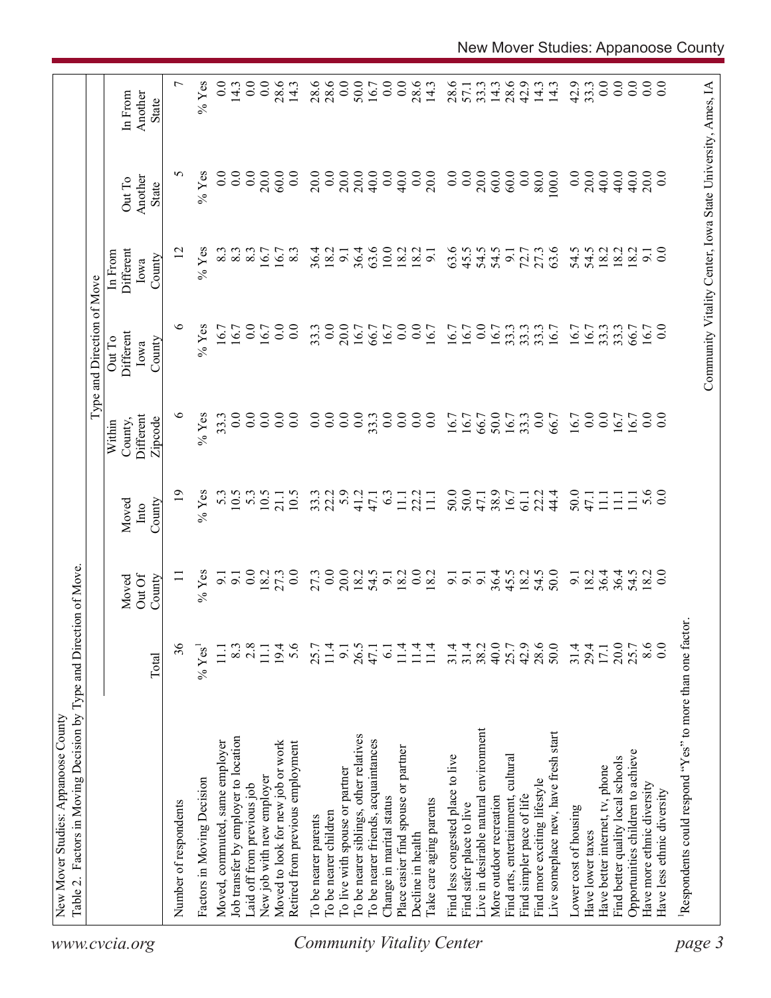|                                  | Table 2. Factors in Moving Decision by Type and Direction of Move |                         |                           |                         |                                           | Type and Direction of Move                   |                                                            |                                   |                             |
|----------------------------------|-------------------------------------------------------------------|-------------------------|---------------------------|-------------------------|-------------------------------------------|----------------------------------------------|------------------------------------------------------------|-----------------------------------|-----------------------------|
| www.cvcia.org                    |                                                                   | Total                   | Out Of<br>County<br>Moved | County<br>Moved<br>Into | Different<br>Zipcode<br>County,<br>Within | <b>Different</b><br>Out To<br>County<br>Iowa | Different<br>In From<br>County<br>Iowa                     | Another<br>Out To<br><b>State</b> | Another<br>In From<br>State |
|                                  | Number of respondents                                             | 36                      | $\Xi$                     | $\overline{19}$         | ७                                         | $\circ$                                      | $\overline{c}$                                             | 5                                 | $\overline{ }$              |
|                                  | Factors in Moving Decision                                        | % Yes <sup>1</sup>      | $%$ Yes                   | $%$ Yes                 | $%$ Yes                                   | $%$ Yes                                      | $\%$ Yes                                                   | $\%$ Yes                          | $%$ Yes                     |
|                                  | Moved, commuted, same employer                                    | 11.1                    | $\overline{9}$ .          | 5.3                     | 33.3                                      | 16.7                                         | 8.3                                                        | 0.0                               | 0.0                         |
|                                  | Job transfer by employer to location                              |                         | $\overline{5}$            | 10.5                    | 0.0                                       | 16.7                                         | 8.3                                                        | 0.0                               | 14.3                        |
|                                  | Laid off from previous job                                        | $8.\overline{3}$<br>2.8 | $\overline{0.0}$          | $5.\overline{3}$        | 0.0                                       | 0.0                                          | 8.3                                                        | 0.0                               | 0.0                         |
|                                  | New job with new employer                                         | $\overline{111}$        |                           | 10.5                    | 0.0                                       | 16.7                                         | 16.7                                                       | 20.0                              | 0.0                         |
|                                  | Moved to look for new job or work                                 | 19.4                    | 18.2                      | 21.1                    | 0.0                                       | $\overline{0.0}$                             | 67                                                         | 60.0                              | 28.6                        |
|                                  | Retired from previous employment                                  | 5.6                     | 0.0                       | 10.5                    | 0.0                                       | $\overline{0.0}$                             | 8.3                                                        | 0.0                               | 14.3                        |
|                                  | To be nearer parents                                              | 25.7                    | 27.3                      | 33.3                    | 0.0                                       | 33.3                                         | 36.4                                                       | 20.0                              | 28.6                        |
|                                  | To be nearer children                                             | 11.4                    | 0.0                       | 22.2                    | $\overline{0}$ .                          | 0.0                                          | 18.2                                                       | 0.0                               | 28.6                        |
|                                  | To live with spouse or partner                                    | 9.1                     | 20.0                      | 5.9                     | $\overline{0}$ .                          | 20.0                                         | 9.1                                                        | 20.0                              | 0.0                         |
|                                  | To be nearer siblings, other relatives                            | 26.5                    | 18.2                      | 41.2                    | $0.0\,$                                   | 16.7                                         | 36.4                                                       | 20.0                              | 50.0                        |
|                                  | To be nearer friends, acquaintances                               | 47.1                    | 54.5                      | 47.1                    | 33.3                                      | 66.7                                         | 63.6                                                       | 40.0                              | 16.7                        |
|                                  | Change in marital status                                          | $\overline{6.1}$        | 9.1                       | 6.3                     | $\overline{0.0}$                          | 16.7                                         | $10.0\,$                                                   | 0.0                               | 0.0                         |
|                                  | Place easier find spouse or partner                               | 11.4                    | 18.2                      | $\Xi$                   | 0.0                                       | $\overline{0.0}$                             | 18.2                                                       | 40.0                              | 0.0                         |
|                                  | Decline in health                                                 | 11.4                    | $\overline{0.0}$          | 22.2                    | 0.0                                       | $\overline{0.0}$                             | 18.2                                                       | 0.0                               | 28.6                        |
|                                  | Take care aging parents                                           | 11.4                    | 18.2                      | 111                     | $\overline{0.0}$                          | 16.7                                         | $\overline{9}$ .                                           | 20.0                              | 14.3                        |
| <b>Community Vitality Center</b> | Find less congested place to live                                 | 31.4                    |                           | 50.0                    | 16.7                                      | 16.7                                         | 63.6                                                       | 0.0                               | 28.6                        |
|                                  | Find safer place to live                                          | 31.4                    | $\frac{1}{9}$             | 50.0                    | 16.7                                      | 16.7                                         | 45.5                                                       | $0.0\,$                           | 57.1                        |
|                                  | live in desirable natural environment                             | 38.2                    | $\overline{9}$ .          | 47.1                    | 66.7                                      | $\overline{0}$ .                             | 54.5                                                       | 20.0                              | 33.3                        |
|                                  | More outdoor recreation                                           | 40.0                    | 36.4                      | 38.9                    | 50.0                                      | 16.7                                         | 54.5                                                       | 60.0                              | 14.3                        |
|                                  | Find arts, entertainment, cultural                                | 25.7                    | $45.5$<br>18.2            | 16.7                    | 16.7                                      | 33.3                                         | 9.1                                                        | 60.0                              | 28.6                        |
|                                  | Find simpler pace of life                                         | 42.9                    |                           | 61.1                    | 33.3                                      | 33.3                                         | 72.7                                                       | 0.0                               | 42.9                        |
|                                  | Find more exciting lifestyle                                      | 28.6                    | 54.5                      | 22.2                    | 0.0                                       | 33.3                                         | 27.3                                                       | 80.0                              | 14.3                        |
|                                  | Live someplace new, have fresh start                              | 50.0                    | 50.0                      | 44.4                    | 66.7                                      | 16.7                                         | 63.6                                                       | 100.0                             | 14.3                        |
|                                  | Lower cost of housing                                             | 31.4                    | 9.1                       | 50.0                    | 16.7                                      | 16.7                                         | 54.5                                                       | 0.0                               | 42.9                        |
|                                  | Have lower taxes                                                  | 29.4                    | 18.2                      | 47.1                    | 0.0                                       | 16.7                                         | 54.5                                                       | 20.0                              | 33.3                        |
|                                  | Have better internet, tv, phone                                   | 17.1                    | 36.4                      | $\Xi$                   | 0.0                                       | 33.3                                         | 18.2                                                       | 40.0                              | 0.0                         |
|                                  | Find better quality local schools                                 | 20.0                    | 36.4                      | $\Xi$                   | 16.7                                      | 33.3                                         | 18.2                                                       | 40.0                              | 0.0                         |
|                                  | Opportunities children to achieve                                 | 25.7                    | 54.5                      | Ξ                       | 16.7                                      | 66.7                                         | 18.2                                                       | 40.0                              | 0.0                         |
|                                  | Have more ethnic diversity                                        | 8.6                     | 18.2                      | 5.6                     | $0.0\,$                                   | 16.7                                         | 9.1                                                        | 20.0                              | 0.0                         |
|                                  | Have less ethnic diversity                                        | $_{0.0}$                | 0.0                       | $\overline{0}$ .        | $\overline{0.0}$                          | 0.0                                          | $\overline{0.0}$                                           | 0.0                               | $\overline{0}$ .            |
| page 3                           | Respondents could respond "Yes" to more than one factor.          |                         |                           |                         |                                           |                                              |                                                            |                                   |                             |
|                                  |                                                                   |                         |                           |                         |                                           |                                              | Community Vitality Center, Iowa State University, Ames, IA |                                   |                             |
|                                  |                                                                   |                         |                           |                         |                                           |                                              |                                                            |                                   |                             |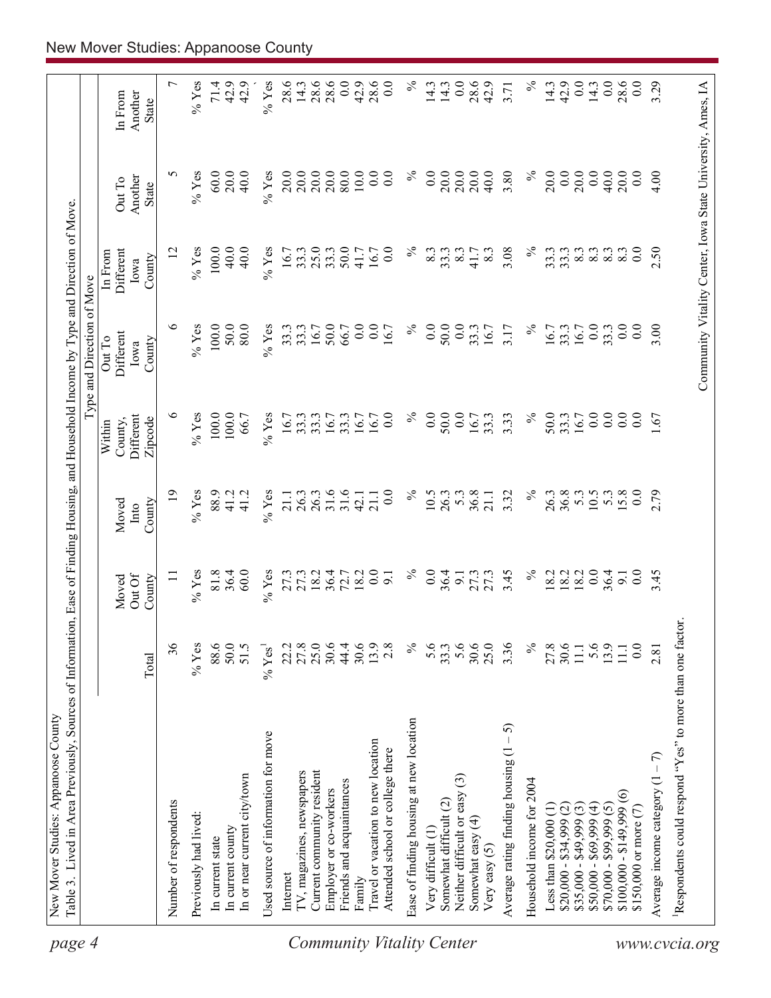| page 4                    | Table 3. Lived in Area Previously, Sources of Information, Ease of Finding Housing, and Household Income by Type and Direction of Move |                  |                                    |                 |                                |                                                            |                              |                         |                          |
|---------------------------|----------------------------------------------------------------------------------------------------------------------------------------|------------------|------------------------------------|-----------------|--------------------------------|------------------------------------------------------------|------------------------------|-------------------------|--------------------------|
|                           |                                                                                                                                        |                  |                                    |                 |                                | Type and Direction of Move                                 |                              |                         |                          |
|                           |                                                                                                                                        |                  | Out Of<br>Moved                    | Moved<br>Into   | Different<br>County,<br>Within | Different<br>Out To<br>Iowa                                | Different<br>In From<br>Iowa | Another<br>Out To       | In From<br>Another       |
|                           |                                                                                                                                        | Total            | County                             | County          | Zipcode                        | County                                                     | County                       | State                   | <b>State</b>             |
|                           | Number of respondents                                                                                                                  | 36               |                                    | $\overline{19}$ | $\circ$                        | $\circ$                                                    | 12                           | 5                       | $\overline{ }$           |
|                           | Previously had lived:                                                                                                                  | $%$ Yes          | $%$ Yes                            | $%$ Yes         | $%$ Yes                        | % $Y$ es                                                   | $%$ Yes                      | $\%$ Yes                | $%$ Yes                  |
|                           | In current state                                                                                                                       | 88.6             | 81.8                               | 88.9            | $100.0$                        | 100.0                                                      | 100.0                        | 60.0                    | 71.4                     |
|                           | In current county                                                                                                                      | 50.0             | 36.4                               | 41.2            | 100.0                          | 50.0                                                       | 40.0                         | 20.0                    | 42.9                     |
|                           | In or near current city/town                                                                                                           | 51.5             | $60.0$                             | 41.2            | 66.7                           | 80.0                                                       | 40.0                         | 40.0                    | 42.9                     |
|                           | Used source of information for move                                                                                                    | $% \text{Yes}^1$ | $%$ Yes                            | $%$ Yes         | % $Y$ es                       | $\%$ Yes                                                   | $%$ Yes                      | $\%$ Yes                | $%$ Yes                  |
|                           | Internet                                                                                                                               | 22.2             |                                    | 21.1            | 16.7                           | 33.3                                                       | 16.7                         | 20.0                    | 28.6                     |
|                           | IV, magazines, newspapers                                                                                                              | 27.8             |                                    | 26.3            | 33.3                           | 33.3                                                       | 33.3                         | 20.0                    | 14.3                     |
|                           | Current community resident                                                                                                             | 25.0             |                                    | 26.3            | 33.3                           | 16.7                                                       | $25.0$<br>33.3               | 20.0                    | 28.6                     |
|                           | Employer or co-workers                                                                                                                 | 30.6             | 27.3<br>27.3<br>28.4<br>27.7       | 31.6            | 16.7                           | 50.0                                                       |                              | 20.0                    | 28.6                     |
|                           | Friends and acquaintances                                                                                                              | 44.4             |                                    | 31.6            | 33.3                           | 66.7                                                       | 50.0                         | 80.0                    | 0.0                      |
|                           | Family                                                                                                                                 | 30.6             | 18.2                               | 42.1            | 16.7                           | 0.0                                                        | 41.7                         | 10.0                    | 42.9                     |
| Community Vitality Center | Travel or vacation to new location<br>Attended school or college there                                                                 | 13.9<br>2.8      | $\overline{0.0}$<br>$\overline{9}$ | 0.0<br>21.1     | $\overline{0.0}$<br>16.7       | 0.0<br>16.7                                                | 0.0<br>16.7                  | 0.0<br>$\overline{0}$ . | 28.6<br>$\overline{0}$ . |
|                           | Ease of finding housing at new location                                                                                                | $\%$             | $\%$                               | $\%$            | ℅                              | $\%$                                                       | $\%$                         | ℅                       | $\%$                     |
|                           | Very difficult (1)                                                                                                                     | 5.6              | $\overline{0.0}$                   | 10.5            | 0.0                            | 0.0                                                        | 8.3                          | 0.0                     | 14.3                     |
|                           | Somewhat difficult (2)                                                                                                                 | 33.3             | 36.4                               | 26.3            | 50.0                           | 50.0                                                       | 33.3                         | 20.0                    | 14.3                     |
|                           | $\widetilde{\omega}$<br>Neither difficult or easy                                                                                      | 5.6              | $\overline{5}$                     | 5.3             | 0.0                            | 0.0                                                        | 8.3                          | 20.0                    | 0.0                      |
|                           | Somewhat easy (4)<br>Very easy (5)                                                                                                     | 30.6<br>25.0     | 27.3                               | 36.8<br>21.1    | 33.3<br>16.7                   | 16.7<br>33.3                                               | 8.3<br>41.7                  | 20.0<br>40.0            | 28.6<br>42.9             |
|                           | $-5$<br>Average rating finding housing (1                                                                                              | 3.36             | 3.45                               | 3.32            | 3.33                           | 3.17                                                       | 3.08                         | 3.80                    | 3.71                     |
|                           | Household income for 2004                                                                                                              | $\%$             | $\%$                               | $\%$            | $\%$                           | $\%$                                                       | $\%$                         | $\%$                    | $\%$                     |
|                           | Less than $$20,000$ (1)                                                                                                                | 27.8             | 18.2                               | 26.3            | 50.0                           | 16.7                                                       | 33.3                         | 20.0                    | 14.3                     |
|                           | $$20,000 - $34,999 (2)$                                                                                                                | 30.6             | 18.2                               | 36.8            | 33.3                           | 33.3                                                       | 33.3                         | 0.0                     | 42.9                     |
|                           | $$35,000 - $49,999(3)$                                                                                                                 | $11.1\,$         |                                    | 5.3             | 16.7                           | 16.7                                                       | 8.3                          | 20.0                    | 0.0                      |
|                           | $$50,000 - $69,999(4)$                                                                                                                 | 5.6              | 0.0                                | 10.5            | 0.0                            | 0.0                                                        | $\frac{83}{8}$               | 0.0                     | 14.3                     |
|                           | $$70,000 - $99,999(5)$                                                                                                                 | 13.9             | 36.4                               | 5.3             | 0.0                            | 33.3                                                       |                              | 40.0                    | 0.0                      |
|                           | $\odot$<br>$$100,000 - $149,999$                                                                                                       | $\Xi$            | $\overline{5}$                     | 5.8             | 0.0                            | 0.0                                                        | 8.3                          | 20.0                    | 28.6                     |
|                           | \$150,000 or more (7)                                                                                                                  | 0.0              | $\overline{0}$ .                   | 0.0             | 0.0                            | 0.0                                                        | $\overline{0.0}$             | 0.0                     | 0.0                      |
|                           | Average income category $(1 - 7)$                                                                                                      | 2.81             | 3.45                               | 2.79            | $-1.67$                        | 3.00                                                       | 2.50                         | 4.00                    | 3.29                     |
| www.cvcia.org             | Respondents could respond "Yes" to more than one factor.                                                                               |                  |                                    |                 |                                |                                                            |                              |                         |                          |
|                           |                                                                                                                                        |                  |                                    |                 |                                | Community Vitality Center, Iowa State University, Ames, IA |                              |                         |                          |
|                           |                                                                                                                                        |                  |                                    |                 |                                |                                                            |                              |                         |                          |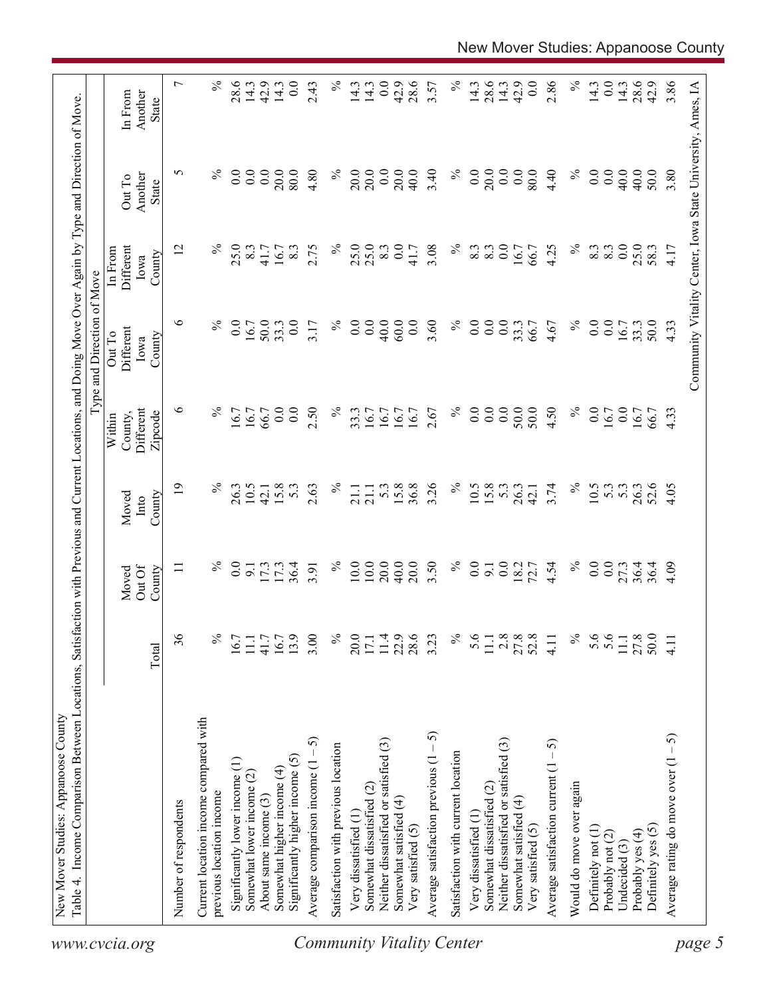| www.cvcia.org                                                           |                  |                           |                         |                                           | Type and Direction of Move                                 |                                        |                            |                             |
|-------------------------------------------------------------------------|------------------|---------------------------|-------------------------|-------------------------------------------|------------------------------------------------------------|----------------------------------------|----------------------------|-----------------------------|
|                                                                         | Total            | Out Of<br>County<br>Moved | County<br>Moved<br>Into | Different<br>Zipcode<br>County,<br>Within | Different<br>Out To<br>County<br>Iowa                      | Different<br>In From<br>County<br>Iowa | Another<br>Out To<br>State | Another<br>In From<br>State |
| Number of respondents                                                   | 36               | $\Box$                    | $\overline{1}$          | ৩                                         | ৩                                                          | 12                                     | 5                          | 7                           |
| Current location income compared with<br>previous location income       | $\%$             | $\%$                      | $\%$                    | $\%$                                      | $\%$                                                       | $\%$                                   | $\%$                       | $\%$                        |
| Significantly lower income (1)                                          | 16.7             | $\overline{0.0}$          | 26.3                    | 16.7                                      | $\overline{0}$ .                                           | 25.0                                   | $\overline{0}$ .           | 28.6                        |
| Somewhat lower income (2)                                               | $\Box$           | 9.1                       | 10.5                    | 16.7                                      | 16.7                                                       | 8.3                                    | $\overline{0.0}$           | 14.3                        |
| About same income (3)                                                   | 41.7             | 17.3                      | 42.1                    | 66.7                                      | 50.0                                                       | 41.7                                   | 0.0                        | 42.9                        |
| Somewhat higher income (4)                                              | 16.7             | 17.3                      | 15.8                    | $\overline{0.0}$                          | 33.3                                                       | 16.7                                   | 20.0                       | 14.3                        |
| Significantly higher income (5)                                         | 13.9             | 36.4                      | 5.3                     | 0.0                                       | 0.0                                                        | 8.3                                    | 80.0                       | 0.0                         |
| Average comparison income $(1 - 5)$<br><b>Community Vitality Center</b> | 3.00             | 3.91                      | 2.63                    | 2.50                                      | 3.17                                                       | 2.75                                   | 4.80                       | 2.43                        |
| Satisfaction with previous location                                     | $\%$             | $\%$                      | $\%$                    | $\%$                                      | $\%$                                                       | $\%$                                   | $\%$                       | $\%$                        |
| Very dissatisfied (1)                                                   | 20.0             | 10.0                      | 21.1                    | 33.3                                      | 0.0                                                        | 25.0                                   | 20.0                       | 14.3                        |
| Somewhat dissatisfied (2)                                               | $17.1\,$         | $10.0\,$                  | 21.1                    | 16.7                                      | 0.0                                                        | 25.0                                   | 20.0                       | 14.3                        |
| Neither dissatisfied or satisfied (3)                                   | 11.4             | 20.0                      | 5.3                     | 16.7                                      | 40.0                                                       | 8.3                                    | 0.0                        | 0.0                         |
| Somewhat satisfied (4)                                                  | 22.9             | 40.0                      | 15.8                    | 16.7                                      | 60.0                                                       | $\overline{0}$ .                       | 20.0                       | 42.9                        |
| Very satisfied (5)                                                      | 28.6             | 20.0                      | 36.8                    | 16.7                                      | 0.0                                                        | 41.7                                   | 40.0                       | 28.6                        |
| Average satisfaction previous $(1 - 5)$                                 | 3.23             | 3.50                      | 3.26                    | 2.67                                      | 3.60                                                       | 3.08                                   | 3.40                       | 3.57                        |
| Satisfaction with current location                                      | $\%$             | $\%$                      | $\%$                    | $\%$                                      | $\%$                                                       | $\%$                                   | $\%$                       | $\%$                        |
| Very dissatisfied (1)                                                   | 5.6              | 0.0                       | 10.5                    | 0.0                                       | 0.0                                                        | 8.3                                    | 0.0                        | 14.3                        |
| Somewhat dissatisfied (2)                                               | 11.1             | 9.1                       | 15.8                    | 0.0                                       | 0.0                                                        | 8.3                                    | 20.0                       | 28.6                        |
| Neither dissatisfied or satisfied (3)                                   | $2.8$            | $0.0\,$                   | 5.3                     | 0.0                                       | 0.0                                                        | $0.0\,$                                | 0.0                        | 14.3                        |
| Somewhat satisfied (4)                                                  | 27.8             | 18.2                      | 26.3                    | 50.0                                      | 33.3                                                       | 16.7                                   | 0.0                        | 42.9                        |
| Very satisfied (5)                                                      | 52.8             | 72.7                      | 42.1                    | 50.0                                      | 66.7                                                       | 66.7                                   | 80.0                       | 0.0                         |
| Average satisfaction current $(1 - 5)$                                  | 4.11             | 4.54                      | 3.74                    | 4.50                                      | 4.67                                                       | 4.25                                   | 4.40                       | 2.86                        |
| Would do move over again                                                | $\%$             | $\%$                      | $\%$                    | $\%$                                      | $\%$                                                       | $\%$                                   | $\%$                       | $\%$                        |
| Definitely not (1)                                                      |                  | 0.0                       | 10.5                    | 0.0                                       | 0.0                                                        | 8.3                                    | 0.0                        | 14.3                        |
| Probably not (2)                                                        | 5.6              | 0.0                       | 53                      | 16.7                                      | 0.0                                                        | 8.3                                    | 0.0                        | 0.0                         |
| Undecided (3)                                                           | $11.1$<br>$27.8$ | 27.3                      | 5.3                     | $0.0\,$                                   | 16.7                                                       | 0.0                                    | 40.0                       | 14.3                        |
| Probably yes (4)                                                        |                  | 36.4                      | 26.3                    | 16.7                                      | 33.3                                                       | 25.0                                   | 40.0                       | 28.6                        |
| Definitely yes (5)                                                      | 50.0             | 36.4                      | 52.6                    | 66.7                                      | 50.0                                                       | 58.3                                   | 50.0                       | 42.9                        |
| ဂ<br>Average rating do move over (1                                     | 4.11             | 4.09                      | 4.05                    | 4.33                                      | 4.33                                                       | 4.17                                   | 3.80                       | 3.86                        |
| page 5                                                                  |                  |                           |                         |                                           | Community Vitality Center, Iowa State University, Ames, IA |                                        |                            |                             |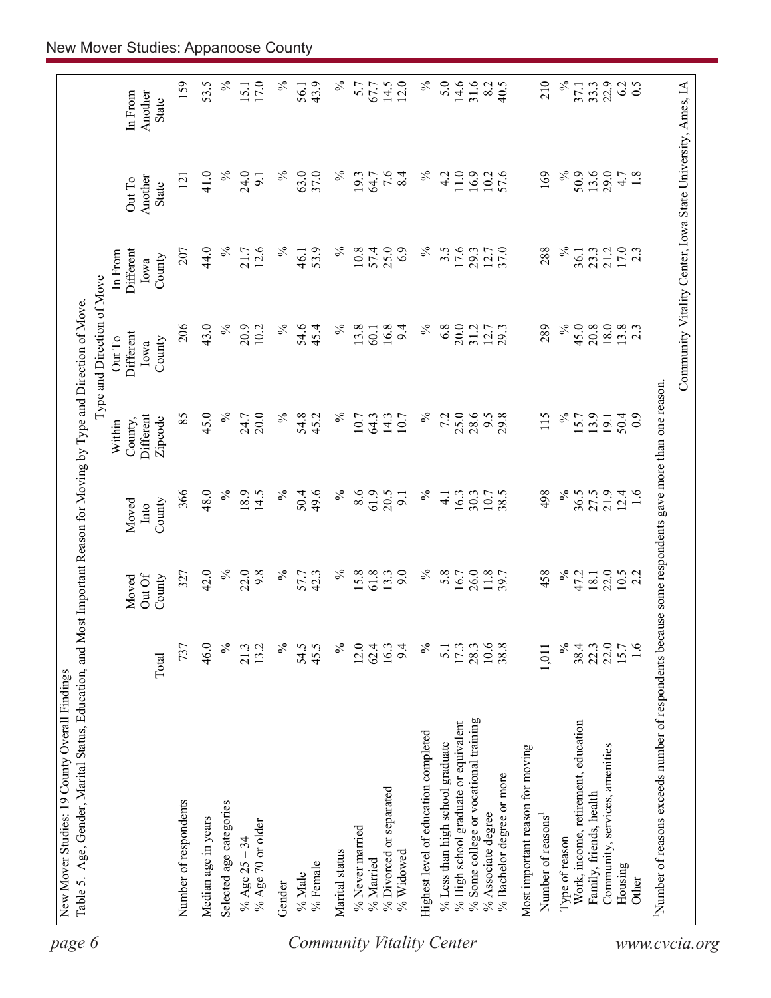| 48.0<br>$\%$<br>366<br>18.9<br>$\%$<br>49.6<br>$\%$<br>8.6<br>61.9<br>20.5<br>$\%$<br>14.5<br>50.4<br>$\overline{4}$<br>16.3<br>9.1<br>County<br>Moved<br>Into<br>$\%$<br>$\%$<br>$\%$<br>42.0<br>22.0<br>9.8<br>$\%$<br>61.8<br>9.0<br>5.8<br>57.7<br>42.3<br>15.8<br>13.3<br>16.7<br>327<br>Out Of<br>County<br>Moved<br>46.0<br>$\%$<br>$\%$<br>54.5<br>$\%$<br>$\%$<br>737<br>13.2<br>45.5<br>$12.0$<br>62.4<br>9.4<br>$17.3$<br>28.3<br>21.3<br>16.3<br>5.1<br>Total<br>% High school graduate or equivalent<br>Highest level of education completed<br>% Less than high school graduate<br>% Divorced or separated<br>Number of respondents<br>Selected age categories<br>Median age in years<br>% Age 70 or older<br>% Never married<br>% Age $25 - 34$<br>Marital status<br>% Widowed<br>% Married<br>% Female<br>% Male<br>Gender | 206<br>43.0<br>$\%$<br>$\%$<br>$\%$<br>20.9<br>54.6<br>45.4<br>10.2<br>Different<br>Out To<br>County<br>Iowa<br>45.0<br>$\%$<br>85<br>54.8<br>$\%$<br>24.7<br>20.0<br>$\%$<br>45.2<br>Different<br>County,<br>Zipcode<br>Within | $\%$<br>44.0<br>12.6<br>$\%$<br>207<br>21.7<br>In From<br>Different<br>County<br>Iowa | Out To                   |                             |
|--------------------------------------------------------------------------------------------------------------------------------------------------------------------------------------------------------------------------------------------------------------------------------------------------------------------------------------------------------------------------------------------------------------------------------------------------------------------------------------------------------------------------------------------------------------------------------------------------------------------------------------------------------------------------------------------------------------------------------------------------------------------------------------------------------------------------------------------|---------------------------------------------------------------------------------------------------------------------------------------------------------------------------------------------------------------------------------|---------------------------------------------------------------------------------------|--------------------------|-----------------------------|
|                                                                                                                                                                                                                                                                                                                                                                                                                                                                                                                                                                                                                                                                                                                                                                                                                                            |                                                                                                                                                                                                                                 |                                                                                       | Another<br>State         | In From<br>Another<br>State |
|                                                                                                                                                                                                                                                                                                                                                                                                                                                                                                                                                                                                                                                                                                                                                                                                                                            |                                                                                                                                                                                                                                 |                                                                                       | 121                      | 159                         |
|                                                                                                                                                                                                                                                                                                                                                                                                                                                                                                                                                                                                                                                                                                                                                                                                                                            |                                                                                                                                                                                                                                 |                                                                                       | 41.0                     | 53.5                        |
|                                                                                                                                                                                                                                                                                                                                                                                                                                                                                                                                                                                                                                                                                                                                                                                                                                            |                                                                                                                                                                                                                                 |                                                                                       | $\%$                     | $\%$                        |
|                                                                                                                                                                                                                                                                                                                                                                                                                                                                                                                                                                                                                                                                                                                                                                                                                                            |                                                                                                                                                                                                                                 |                                                                                       | 24.0<br>$\overline{9}$ . | 17.0<br>15.1                |
|                                                                                                                                                                                                                                                                                                                                                                                                                                                                                                                                                                                                                                                                                                                                                                                                                                            |                                                                                                                                                                                                                                 |                                                                                       | $\%$                     | $\%$                        |
|                                                                                                                                                                                                                                                                                                                                                                                                                                                                                                                                                                                                                                                                                                                                                                                                                                            |                                                                                                                                                                                                                                 | 46.1                                                                                  | 63.0                     | 56.1                        |
|                                                                                                                                                                                                                                                                                                                                                                                                                                                                                                                                                                                                                                                                                                                                                                                                                                            |                                                                                                                                                                                                                                 | 53.9                                                                                  | 37.0                     | 43.9                        |
|                                                                                                                                                                                                                                                                                                                                                                                                                                                                                                                                                                                                                                                                                                                                                                                                                                            |                                                                                                                                                                                                                                 | $\%$                                                                                  | $\%$                     | $\%$                        |
|                                                                                                                                                                                                                                                                                                                                                                                                                                                                                                                                                                                                                                                                                                                                                                                                                                            | 13.8<br>10.7                                                                                                                                                                                                                    | 10.8                                                                                  | 19.3                     | 5.7                         |
|                                                                                                                                                                                                                                                                                                                                                                                                                                                                                                                                                                                                                                                                                                                                                                                                                                            | 16.8<br>60.1<br>64.3<br>14.3                                                                                                                                                                                                    | 25.0<br>57.4                                                                          | 64.7                     | 14.5<br>67.7                |
|                                                                                                                                                                                                                                                                                                                                                                                                                                                                                                                                                                                                                                                                                                                                                                                                                                            | 9.4<br>10.7                                                                                                                                                                                                                     | 6.9                                                                                   | $7.6$<br>8.4             | 12.0                        |
|                                                                                                                                                                                                                                                                                                                                                                                                                                                                                                                                                                                                                                                                                                                                                                                                                                            | $\%$                                                                                                                                                                                                                            | $\%$<br>$\%$                                                                          | $\%$                     | $\%$                        |
|                                                                                                                                                                                                                                                                                                                                                                                                                                                                                                                                                                                                                                                                                                                                                                                                                                            | 6.8<br>7.2                                                                                                                                                                                                                      | $3.\overline{5}$                                                                      | 4.2                      | 5.0                         |
|                                                                                                                                                                                                                                                                                                                                                                                                                                                                                                                                                                                                                                                                                                                                                                                                                                            | 20.0<br>25.0                                                                                                                                                                                                                    | 17.6                                                                                  | $11.0\,$                 | 14.6                        |
| 30.3<br>26.0<br>% Some college or vocational training                                                                                                                                                                                                                                                                                                                                                                                                                                                                                                                                                                                                                                                                                                                                                                                      | 31.2<br>28.6                                                                                                                                                                                                                    | 29.3                                                                                  | 16.9                     | 31.6                        |
| 38.5<br>10.7<br>11.8<br>10.6<br>38.8<br>% Bachelor degree or more<br>% Associate degree                                                                                                                                                                                                                                                                                                                                                                                                                                                                                                                                                                                                                                                                                                                                                    | 12.7<br>29.8<br>6.6                                                                                                                                                                                                             | 12.7<br>37.0                                                                          | 57.6<br>10.2             | 40.5<br>8.2                 |
| Most important reason for moving                                                                                                                                                                                                                                                                                                                                                                                                                                                                                                                                                                                                                                                                                                                                                                                                           |                                                                                                                                                                                                                                 |                                                                                       |                          |                             |
| 498<br>458<br>1,011<br>Number of reasons                                                                                                                                                                                                                                                                                                                                                                                                                                                                                                                                                                                                                                                                                                                                                                                                   | 289<br>115                                                                                                                                                                                                                      | 288                                                                                   | 169                      | 210                         |
| $\%$<br>$\%$<br>$\approx$<br>Type of reason                                                                                                                                                                                                                                                                                                                                                                                                                                                                                                                                                                                                                                                                                                                                                                                                | $\%$<br>$\%$                                                                                                                                                                                                                    | $\%$                                                                                  | $\approx$                | $\%$                        |
| 36.5<br>47.2<br>38.4<br>Work, income, retirement, education                                                                                                                                                                                                                                                                                                                                                                                                                                                                                                                                                                                                                                                                                                                                                                                | 45.0<br>15.7                                                                                                                                                                                                                    | 36.1                                                                                  | 50.9                     | 37.1                        |
| 27.5<br>18.1<br>Family, friends, health                                                                                                                                                                                                                                                                                                                                                                                                                                                                                                                                                                                                                                                                                                                                                                                                    | 20.8<br>13.9                                                                                                                                                                                                                    | 23.3                                                                                  | 13.6                     | 33.3                        |
| 21.9<br>22.0<br>22.3<br>22.0<br>15.7<br>Community, services, amenities                                                                                                                                                                                                                                                                                                                                                                                                                                                                                                                                                                                                                                                                                                                                                                     | $18.0\,$<br>19.1                                                                                                                                                                                                                | 21.2                                                                                  | 29.0                     | 22.9                        |
| 12.4<br>$10.5$<br>2.2<br>Housing                                                                                                                                                                                                                                                                                                                                                                                                                                                                                                                                                                                                                                                                                                                                                                                                           | $13.8$<br>2.3<br>$50.4$<br>0.9                                                                                                                                                                                                  | 17.0                                                                                  | 4.7                      | 62                          |
| 1.6<br>$\frac{6}{1}$<br>Other                                                                                                                                                                                                                                                                                                                                                                                                                                                                                                                                                                                                                                                                                                                                                                                                              |                                                                                                                                                                                                                                 | 2.3                                                                                   | 1.8                      | $\overline{0.5}$            |
| use some respondents gave more than one reason.<br>Number of reasons exceeds number of respondents beca-                                                                                                                                                                                                                                                                                                                                                                                                                                                                                                                                                                                                                                                                                                                                   |                                                                                                                                                                                                                                 |                                                                                       |                          |                             |
|                                                                                                                                                                                                                                                                                                                                                                                                                                                                                                                                                                                                                                                                                                                                                                                                                                            |                                                                                                                                                                                                                                 | Community Vitality Center, Iowa State University, Ames, IA                            |                          |                             |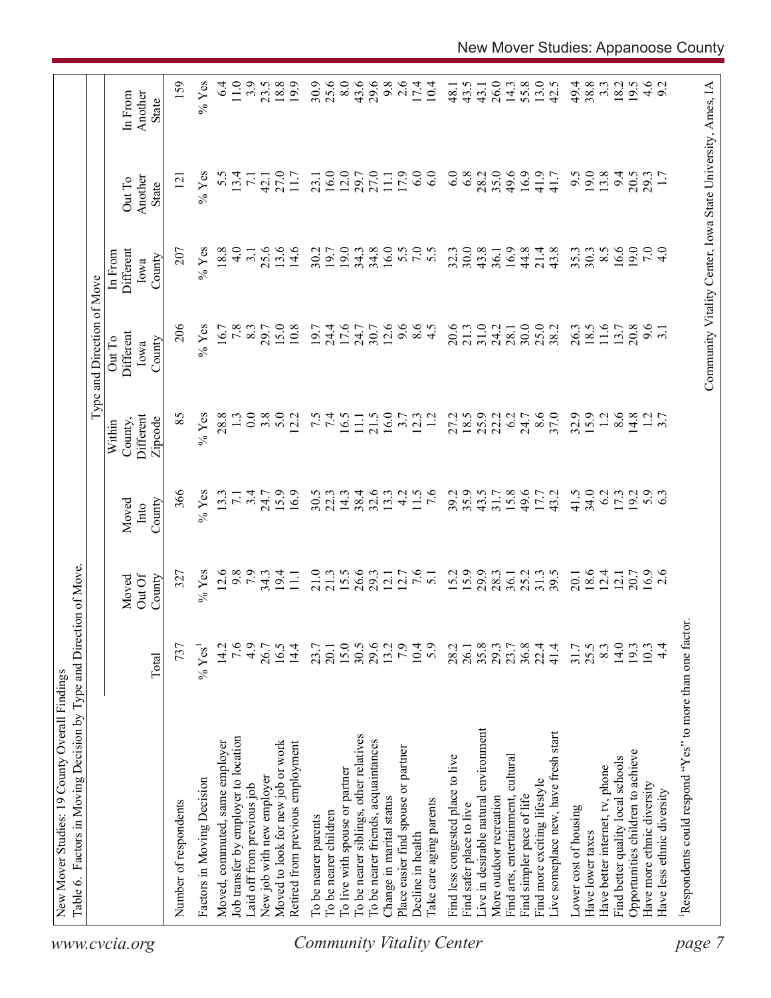| www.cvcia.org                    | Table 6. Factors in Moving Decision by Type and Direction of Move. |                  |                           |                         | Within                          | Type and Direction of Move<br>Out To | In From                     |                                                            |                                    |
|----------------------------------|--------------------------------------------------------------------|------------------|---------------------------|-------------------------|---------------------------------|--------------------------------------|-----------------------------|------------------------------------------------------------|------------------------------------|
|                                  |                                                                    | Total            | Out Of<br>County<br>Moved | County<br>Moved<br>Into | Different<br>Zipcode<br>County, | Different<br>County<br>Iowa          | Different<br>County<br>Iowa | Another<br>Out To<br>State                                 | Another<br>In From<br><b>State</b> |
|                                  | Number of respondents                                              | 737              | 327                       | 366                     | 85                              | 206                                  | 207                         | $\overline{121}$                                           | 159                                |
|                                  | Factors in Moving Decision                                         | $%$ Yes          | $%$ Yes                   | $%$ Yes                 | $%$ Yes                         | $%$ Yes                              | $%$ Yes                     | $%$ Yes                                                    | $%$ Yes                            |
|                                  | Moved, commuted, same employer                                     | 14.2             | 12.6                      | 13.3                    | 28.8                            | 16.7                                 | 18.8                        | 5.5                                                        | $6\dot{4}$                         |
|                                  | Job transfer by employer to location                               | 7.6              | 9.8                       | $\overline{7.1}$        |                                 | 7.8                                  | $\frac{0}{4}$               | 13.4                                                       | $11.0$                             |
|                                  | Laid off from previous job                                         | 4.9              | 7.9                       | 3.4                     | 0.0                             | 8.3                                  | $\overline{3}$ .            | $\overline{7.1}$                                           | 3.9                                |
|                                  | New job with new employer                                          | 26.7             |                           | 24.7                    | 3.8                             | 29.7                                 | 25.6                        | 42.1                                                       | 23.5                               |
|                                  | Moved to look for new job or work                                  | 16.5             | $34.3$<br>19.4            | 15.9                    | 5.0                             | 15.0                                 | 13.6                        | 27.0                                                       | 18.8                               |
|                                  | Retired from previous employment                                   | 14.4             | $\overline{111}$          | 16.9                    | 12.2                            | 10.8                                 | 14.6                        | 11.7                                                       | 19.9                               |
|                                  | To be nearer parents                                               | 23.7             | 21.0                      | 30.5                    |                                 | 19.7                                 | 30.2                        | 23.1                                                       | 30.9                               |
|                                  | To be nearer children                                              | 20.1             | 21.3                      | 22.3                    | $7.\overline{5}$                | 24.4                                 | 19.7                        | 16.0                                                       | 25.6                               |
|                                  | To live with spouse or partner                                     |                  | 15.5                      | 14.3                    | 16.5                            | 17.6                                 | 19.0                        | 12.0                                                       | 8.0                                |
|                                  | To be nearer siblings, other relatives                             | 15.0<br>30.5     | 26.6                      | 38.4                    | $\Box$                          | 24.7                                 | 34.3                        | 29.7                                                       | 43.6                               |
|                                  | To be nearer friends, acquaintances                                | 29.6             | 29.3                      | 32.6                    | 21.5                            | 30.7                                 | 34.8                        | 27.0                                                       | 29.6                               |
|                                  | Change in marital status                                           | 13.2             | 12.1                      | 13.3                    | 16.0                            | 12.6                                 | 16.0                        | 11.1                                                       | 9.8                                |
|                                  | Place easier find spouse or partner                                | 7.9              | 12.7                      | 4.2                     | 3.7                             | 9.6                                  |                             | 17.9                                                       | 2.6                                |
|                                  | Decline in health                                                  | 10.4             | 7.6                       | 11.5                    | 12.3                            | 8.5                                  | 5.5                         | 6.0                                                        | 17.4                               |
| <b>Community Vitality Center</b> | Take care aging parents                                            | 5.9              | $\overline{51}$           | $\frac{6}{7}$           |                                 |                                      | 5.5                         | 6.0                                                        | 10.4                               |
|                                  | Find less congested place to live                                  | 28.2             | 15.2                      | 39.2                    | 27.2                            | 20.6                                 | 32.3                        | 6.0                                                        | 48.1                               |
|                                  | Find safer place to live                                           | 26.1             | 15.9                      | 35.9                    |                                 | 21.3                                 | 30.0                        | 6.8                                                        | 43.5                               |
|                                  | Live in desirable natural environment                              | 35.8             | 29.9                      | 43.5                    | $18.5$<br>25.9                  | 31.0                                 | 43.8                        | 28.2                                                       | 43.1                               |
|                                  | More outdoor recreation                                            | 29.3             | 28.3                      | $31.7$<br>$15.8$        | 22.2                            | 24.2                                 | 36.1                        | 35.0                                                       | 26.0                               |
|                                  | Find arts, entertainment, cultural                                 | 23.7             | 36.1                      |                         | 6.2                             | 28.1                                 | 16.9                        | 49.6                                                       | 14.3                               |
|                                  | Find simpler pace of life                                          | $36.8$<br>$22.4$ | 25.2                      | 49.6                    | 24.7                            | 30.0                                 | 44.8                        | 16.9                                                       | 55.8                               |
|                                  | Find more exciting lifestyle                                       |                  | 31.3                      | 17.7                    | 8.6                             | 25.0                                 | 21.4                        | 41.9                                                       | 13.0                               |
|                                  | Live someplace new, have fresh start                               | 41.4             | 39.5                      | 43.2                    | 37.0                            | 38.2                                 | 43.8                        | 41.7                                                       | 42.5                               |
|                                  | Lower cost of housing                                              | 31.7             | 20.1                      | 41.5                    | 32.9                            | 26.3                                 | 35.3                        | 9.5                                                        | 49.4                               |
|                                  | Have lower taxes                                                   | 25.5             | 18.6                      | 34.0                    | 15.9                            | 18.5                                 | 30.3                        | 19.0                                                       | 38.8                               |
|                                  | Have better internet, tv, phone                                    | 8.3              | 12.4                      | 6.2                     | 1.2                             | 11.6                                 | $8.\overline{5}$            | 13.8                                                       | $3.\overline{3}$                   |
|                                  | Find better quality local schools                                  | 14.0             | 12.1                      | 17.3                    | 8.6                             | 13.7                                 | 16.6                        | 9.4                                                        | 18.2                               |
|                                  | Opportunities children to achieve                                  | 19.3             |                           | 19.2                    | 14.8                            | 20.8                                 | 19.0                        | 20.5                                                       | 19.5                               |
|                                  | Have more ethnic diversity                                         | 10.3             | 20.7<br>16.9              | 5.9                     |                                 | $9.\overline{6}$<br>3.1              | 7.0                         | 29.3                                                       |                                    |
|                                  | Have less ethnic diversity                                         | $4\overline{4}$  | 2.6                       |                         | $\frac{2}{3}$ .7                |                                      | 4.0                         |                                                            | $4.6$<br>9.2                       |
| page                             | Respondents could respond "Yes" to more than one factor            |                  |                           |                         |                                 |                                      |                             |                                                            |                                    |
|                                  |                                                                    |                  |                           |                         |                                 |                                      |                             |                                                            |                                    |
|                                  |                                                                    |                  |                           |                         |                                 |                                      |                             | Community Vitality Center, Iowa State University, Ames, IA |                                    |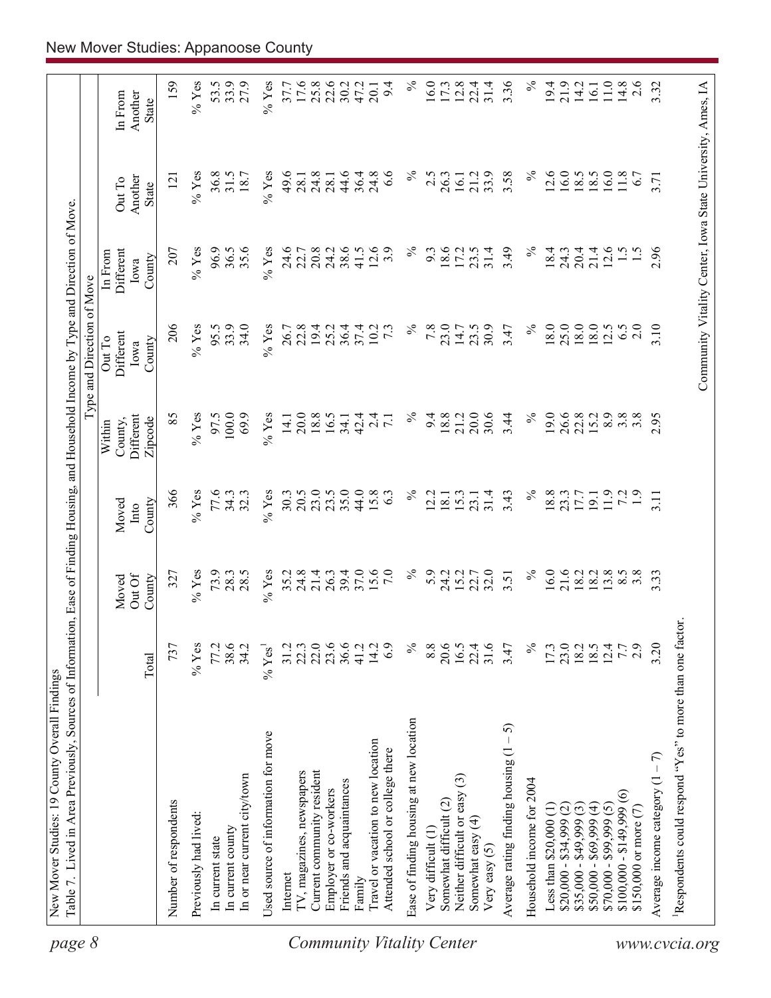| page 8                    |                                                                        |                      |                           |                         |                                           | Type and Direction of Move                                 |                                        |                            |                             |
|---------------------------|------------------------------------------------------------------------|----------------------|---------------------------|-------------------------|-------------------------------------------|------------------------------------------------------------|----------------------------------------|----------------------------|-----------------------------|
|                           |                                                                        | Total                | Out Of<br>County<br>Moved | County<br>Moved<br>Into | Different<br>Zipcode<br>County,<br>Within | Different<br>Out To<br>County<br>Iowa                      | Different<br>In From<br>County<br>Iowa | Another<br>Out To<br>State | In From<br>Another<br>State |
|                           | Number of respondents                                                  | 737                  | 327                       | 366                     | 85                                        | 206                                                        | 207                                    | $\overline{5}$             | 159                         |
|                           | Previously had lived:                                                  | $%$ Yes              | $%$ Yes                   | $%$ Yes                 | $%$ Yes                                   | $%$ Yes                                                    | $%$ Yes                                | $\%$ Yes                   | $%$ Yes                     |
|                           | In current state                                                       | 77.2                 | 73.9                      | 77.6                    | 97.5                                      | 95.5                                                       | 96.9                                   | 36.8                       | 53.5                        |
|                           | In current county                                                      | 38.6                 | 28.3                      | 34.3                    | 100.0                                     | 33.9                                                       | 36.5                                   | 31.5                       | 33.9                        |
|                           | In or near current city/town                                           | 34.2                 | 28.5                      | 32.3                    | 69.9                                      | 34.0                                                       | 35.6                                   | 18.7                       | 27.9                        |
|                           | Used source of information for move                                    | $%$ Yes <sup>1</sup> | $%$ Yes                   | $%$ Yes                 | $\%$ Yes                                  | $%$ Yes                                                    | $%$ Yes                                | $%$ Yes                    | $%$ Yes                     |
|                           | Internet                                                               | 31.2                 |                           | 30.3                    | 14.1                                      | 26.7                                                       | 24.6                                   | 49.6                       | 37.7                        |
|                           | TV, magazines, newspapers                                              | 22.3                 | $35.2$<br>$24.8$          | 20.5                    | 20.0                                      | 22.8                                                       | 22.7                                   | 28.1                       | 17.6                        |
|                           | Current community resident                                             | 22.0                 | 21.4                      | 23.0                    | 18.8                                      | 19.4                                                       | 20.8                                   | 24.8                       | $25.8$<br>$22.6$            |
|                           | Employer or co-workers                                                 | 23.6                 | 26.3                      | 23.5                    | 16.5                                      | 25.2                                                       | 24.2                                   | 28.                        |                             |
|                           | Friends and acquaintances                                              | 36.6                 | 39.4                      | 35.0                    | 34.1                                      | 36.4                                                       | 38.6                                   | 44.6                       | 30.2                        |
|                           | Family                                                                 | 41.2                 | 37.0                      | 44.0                    | 42.4                                      | 37.4                                                       | 41.5                                   | 36.4                       | 47.2                        |
| Community Vitality Center | Travel or vacation to new location<br>Attended school or college there | 14.2<br>6.9          | 15.6<br>7.0               | 15.8<br>63              | 2.4<br>$\overline{7.1}$                   | 10.2<br>$7\cdot3$                                          | 12.6<br>3.9                            | 24.8<br>6.6                | 9.4<br>20.1                 |
|                           | Ease of finding housing at new location                                | $\%$                 | $\%$                      | $\%$                    | $\%$                                      | $\%$                                                       | $\%$                                   | $\%$                       | $\%$                        |
|                           | Very difficult (1)                                                     | 8.8                  | 5.9                       | 12.2                    | 9.4                                       | 7.8                                                        | 9.3                                    | 2.5                        | 16.0                        |
|                           | Somewhat difficult (2)                                                 | 20.6                 | 24.2                      | 18.1                    | 18.8                                      | 23.0                                                       | 18.6                                   | 26.3                       | 17.3                        |
|                           | Neither difficult or easy (3)                                          | 16.5                 | 15.2                      | 15.3                    | 21.2                                      | 14.7                                                       | 17.2                                   | 16.1                       | 12.8                        |
|                           | Somewhat easy (4)<br>Very easy $(5)$                                   | 31.6<br>22.4         | 32.0<br>22.7              | 31.4<br>23.1            | 20.0<br>30.6                              | 30.9<br>23.5                                               | 31.4<br>23.5                           | 33.9<br>21.2               | 22.4<br>31.4                |
|                           | 5<br>Average rating finding housing (1                                 | 3.47                 | 3.51                      | 3.43                    | 3.44                                      | 3.47                                                       | 3.49                                   | 3.58                       | 3.36                        |
|                           | Household income for 2004                                              | $\%$                 | $\%$                      | $\%$                    | $\%$                                      | $\%$                                                       | $\%$                                   | $\%$                       | $\%$                        |
|                           | Less than $$20,000$ $(1)$                                              | 17.3                 | 16.0                      | 18.8                    | 19.0                                      | 18.0                                                       | 18.4                                   | 12.6                       | 19.4                        |
|                           | $$20,000 - $34,999 (2)$                                                | 23.0                 | 21.6                      | 23.3                    | 26.6                                      | 25.0                                                       | 24.3                                   | 16.0                       | 21.9                        |
|                           | $$35,000 - $49,999(3)$                                                 |                      | 18.2                      |                         | 22.8                                      | 18.0                                                       | 20.4                                   | 18.5                       | 14.2                        |
|                           | $$50,000 - $69,999 (4)$                                                | 18.5                 | 18.2                      | 19.1                    | 15.2                                      | 18.0                                                       | 21.4                                   | 18.5                       | 16.1                        |
|                           | $$70,000 - $99,999(5)$                                                 | 12.4                 | 13.8                      | 11.9                    | 8.9                                       | 12.5                                                       | 12.6                                   | 16.0                       | 11.0                        |
|                           | $\widehat{\circ}$<br>$$100,000 - $149,999$                             | 7.7                  | $8.\overline{5}$          | 72                      | $3.\overline{8}$                          | 6.5                                                        | $\frac{1}{5}$                          | 11.8                       | 14.8                        |
|                           | \$150,000 or more $(7)$                                                | 2.9                  | $3.\overline{8}$          | $\overline{1.9}$        | 3.8                                       | 2.0                                                        |                                        | 6.7                        | 2.6                         |
|                           | Average income category $(1 - 7)$                                      | 3.20                 | 3.33                      | 3.11                    | 2.95                                      | 3.10                                                       | 2.96                                   | 3.71                       | 3.32                        |
| www.cvcia.org             | Respondents could respond "Yes" to more than one factor.               |                      |                           |                         |                                           |                                                            |                                        |                            |                             |
|                           |                                                                        |                      |                           |                         |                                           | Community Vitality Center, Iowa State University, Ames, IA |                                        |                            |                             |
|                           |                                                                        |                      |                           |                         |                                           |                                                            |                                        |                            |                             |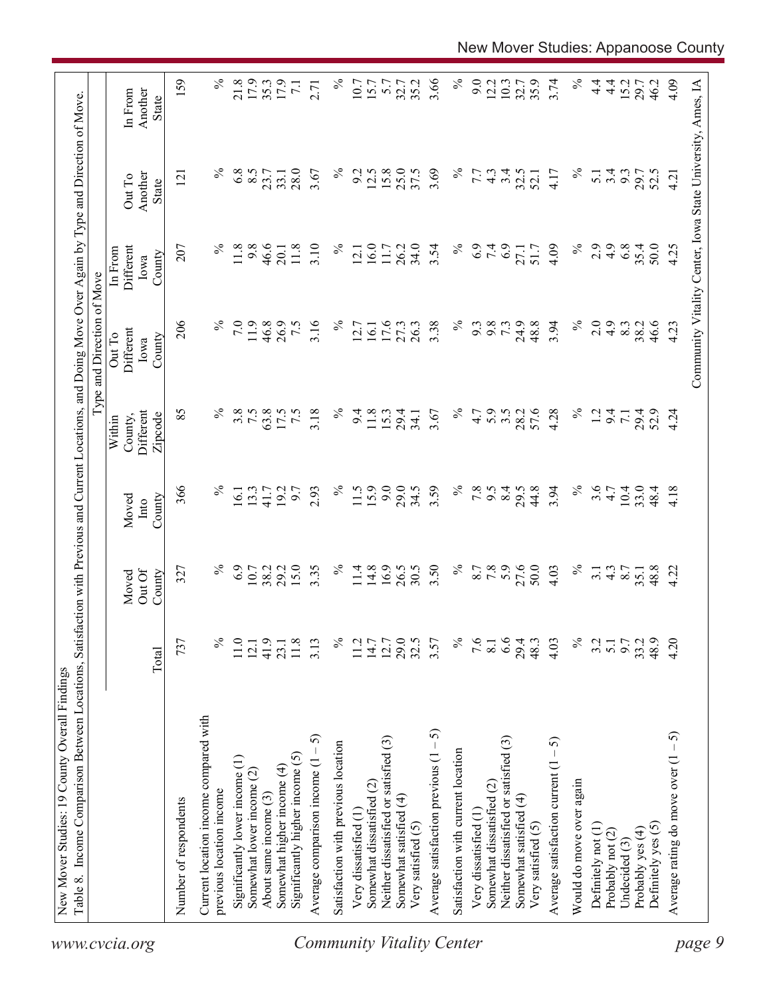| $\%$<br>4.9<br>35.4<br>207<br>$\%$<br>9.8<br>46.6<br>11.8<br>3.10<br>$\%$<br>16.0<br>26.2<br>34.0<br>$\%$<br>6.9<br>7.4<br>4.09<br>2.9<br>6.8<br>50.0<br>Different<br>11.8<br>11.7<br>3.54<br>27.1<br>51.7<br>12.1<br>20.1<br>In From<br>County<br>Iowa<br>206<br>24.9<br>48.8<br>3.94<br>$\%$<br>7.0<br>11.9<br>46.8<br>26.9<br>7.5<br>3.16<br>$\%$<br>16.1<br>17.6<br>$\%$<br>9.8<br>2.0<br>4.9<br>46.6<br>27.3<br>26.3<br>3.38<br>9.3<br>73<br>8.3<br>38.2<br>12.7<br>Different<br>Out To<br>County<br>Iowa<br>85<br>℅<br>$\%$<br>57.6<br>$\%$<br>3.8<br>7.5<br>63.8<br>7.5<br>3.18<br>$\%$<br>28.2<br>4.28<br>17.5<br>11.8<br>15.3<br>4.7<br>5.9<br>$3.\overline{5}$<br>$\overline{12}$<br>Different<br>9.4<br>29.4<br>3.67<br>9.4<br>29.4<br>52.9<br>$\overline{7.1}$<br>34.1<br>County,<br>Zipcode<br>Within<br>9.0<br>366<br>$\%$<br>$\%$<br>15.9<br>29.0<br>3.59<br>$\%$<br>$7.8$<br>8.4<br>44.8<br>3.94<br>$\%$<br>3.6<br>4.7<br>10.4<br>13.3<br>19.2<br>9.7<br>2.93<br>11.5<br>34.5<br>9.5<br>29.5<br>33.0<br>48.4<br>16.1<br>41.7<br>County<br>Moved<br>$\sqrt{\frac{1}{2}}$<br>16.9<br>$\%$<br>27.6<br>$\%$<br>6.9<br>15.0<br>3.35<br>$\%$<br>3.50<br>5.9<br>50.0<br>$\%$<br>10.7<br>38.2<br>29.2<br>11.4<br>14.8<br>26.5<br>30.5<br>8.7<br>7.8<br>4.03<br>48.8<br>327<br>$4.\overline{3}$<br>8.7<br>$\overline{3}$ .<br>35.1<br>Out Of<br>Moved<br>County<br>29.5<br>$\%$<br>6.6<br>$\%$<br>737<br>$\%$<br>41.9<br>11.8<br>$\%$<br>12.7<br>7.6<br>29.4<br>9.7<br>33.2<br>48.9<br>11.0<br>3.13<br>11.2<br>14.7<br>3.57<br>8.1<br>48.3<br>4.03<br>3.2<br>5.1<br>12.1<br>23.1<br>Total<br>Current location income compared with<br>Average satisfaction previous $(1 - 5)$<br>Average comparison income $(1 - 5)$<br>Neither dissatisfied or satisfied (3)<br>Neither dissatisfied or satisfied (3)<br>Average satisfaction current $(1 - 5)$<br>Satisfaction with previous location<br>Satisfaction with current location<br>Significantly higher income $(5)$<br>Significantly lower income (1)<br>Somewhat higher income (4)<br>Somewhat lower income (2)<br>Would do move over again<br>Somewhat dissatisfied (2)<br>Somewhat dissatisfied (2)<br>previous location income<br>About same income (3)<br>Somewhat satisfied (4)<br>Somewhat satisfied (4)<br>Number of respondents<br>Very dissatisfied (1<br>Very dissatisfied (1<br>Very satisfied (5)<br>Very satisfied (5)<br>Definitely yes (5)<br>Definitely not (1)<br>Probably yes (4)<br>Probably not (2)<br>Undecided $(3)$ |  |  | Type and Direction of Move |                                   |                                    |
|---------------------------------------------------------------------------------------------------------------------------------------------------------------------------------------------------------------------------------------------------------------------------------------------------------------------------------------------------------------------------------------------------------------------------------------------------------------------------------------------------------------------------------------------------------------------------------------------------------------------------------------------------------------------------------------------------------------------------------------------------------------------------------------------------------------------------------------------------------------------------------------------------------------------------------------------------------------------------------------------------------------------------------------------------------------------------------------------------------------------------------------------------------------------------------------------------------------------------------------------------------------------------------------------------------------------------------------------------------------------------------------------------------------------------------------------------------------------------------------------------------------------------------------------------------------------------------------------------------------------------------------------------------------------------------------------------------------------------------------------------------------------------------------------------------------------------------------------------------------------------------------------------------------------------------------------------------------------------------------------------------------------------------------------------------------------------------------------------------------------------------------------------------------------------------------------------------------------------------------------------------------------------------------------------------------------------------------------------------------------------------------------------------------------------------------------------------------------------------------------------|--|--|----------------------------|-----------------------------------|------------------------------------|
|                                                                                                                                                                                                                                                                                                                                                                                                                                                                                                                                                                                                                                                                                                                                                                                                                                                                                                                                                                                                                                                                                                                                                                                                                                                                                                                                                                                                                                                                                                                                                                                                                                                                                                                                                                                                                                                                                                                                                                                                                                                                                                                                                                                                                                                                                                                                                                                                                                                                                                   |  |  |                            | Another<br>Out To<br><b>State</b> | Another<br>In From<br><b>State</b> |
|                                                                                                                                                                                                                                                                                                                                                                                                                                                                                                                                                                                                                                                                                                                                                                                                                                                                                                                                                                                                                                                                                                                                                                                                                                                                                                                                                                                                                                                                                                                                                                                                                                                                                                                                                                                                                                                                                                                                                                                                                                                                                                                                                                                                                                                                                                                                                                                                                                                                                                   |  |  |                            | 121                               | 159                                |
|                                                                                                                                                                                                                                                                                                                                                                                                                                                                                                                                                                                                                                                                                                                                                                                                                                                                                                                                                                                                                                                                                                                                                                                                                                                                                                                                                                                                                                                                                                                                                                                                                                                                                                                                                                                                                                                                                                                                                                                                                                                                                                                                                                                                                                                                                                                                                                                                                                                                                                   |  |  |                            |                                   |                                    |
|                                                                                                                                                                                                                                                                                                                                                                                                                                                                                                                                                                                                                                                                                                                                                                                                                                                                                                                                                                                                                                                                                                                                                                                                                                                                                                                                                                                                                                                                                                                                                                                                                                                                                                                                                                                                                                                                                                                                                                                                                                                                                                                                                                                                                                                                                                                                                                                                                                                                                                   |  |  |                            | $\%$                              | $\%$                               |
| <b>Community Vitality Center</b>                                                                                                                                                                                                                                                                                                                                                                                                                                                                                                                                                                                                                                                                                                                                                                                                                                                                                                                                                                                                                                                                                                                                                                                                                                                                                                                                                                                                                                                                                                                                                                                                                                                                                                                                                                                                                                                                                                                                                                                                                                                                                                                                                                                                                                                                                                                                                                                                                                                                  |  |  |                            | 6.8                               | 21.8                               |
|                                                                                                                                                                                                                                                                                                                                                                                                                                                                                                                                                                                                                                                                                                                                                                                                                                                                                                                                                                                                                                                                                                                                                                                                                                                                                                                                                                                                                                                                                                                                                                                                                                                                                                                                                                                                                                                                                                                                                                                                                                                                                                                                                                                                                                                                                                                                                                                                                                                                                                   |  |  |                            | 8.5                               | 17.9                               |
|                                                                                                                                                                                                                                                                                                                                                                                                                                                                                                                                                                                                                                                                                                                                                                                                                                                                                                                                                                                                                                                                                                                                                                                                                                                                                                                                                                                                                                                                                                                                                                                                                                                                                                                                                                                                                                                                                                                                                                                                                                                                                                                                                                                                                                                                                                                                                                                                                                                                                                   |  |  |                            | 23.7                              | 35.3                               |
|                                                                                                                                                                                                                                                                                                                                                                                                                                                                                                                                                                                                                                                                                                                                                                                                                                                                                                                                                                                                                                                                                                                                                                                                                                                                                                                                                                                                                                                                                                                                                                                                                                                                                                                                                                                                                                                                                                                                                                                                                                                                                                                                                                                                                                                                                                                                                                                                                                                                                                   |  |  |                            | 33.1                              | 17.9                               |
|                                                                                                                                                                                                                                                                                                                                                                                                                                                                                                                                                                                                                                                                                                                                                                                                                                                                                                                                                                                                                                                                                                                                                                                                                                                                                                                                                                                                                                                                                                                                                                                                                                                                                                                                                                                                                                                                                                                                                                                                                                                                                                                                                                                                                                                                                                                                                                                                                                                                                                   |  |  |                            | 28.0                              | $\overline{7.1}$                   |
|                                                                                                                                                                                                                                                                                                                                                                                                                                                                                                                                                                                                                                                                                                                                                                                                                                                                                                                                                                                                                                                                                                                                                                                                                                                                                                                                                                                                                                                                                                                                                                                                                                                                                                                                                                                                                                                                                                                                                                                                                                                                                                                                                                                                                                                                                                                                                                                                                                                                                                   |  |  |                            | 3.67                              | 2.71                               |
|                                                                                                                                                                                                                                                                                                                                                                                                                                                                                                                                                                                                                                                                                                                                                                                                                                                                                                                                                                                                                                                                                                                                                                                                                                                                                                                                                                                                                                                                                                                                                                                                                                                                                                                                                                                                                                                                                                                                                                                                                                                                                                                                                                                                                                                                                                                                                                                                                                                                                                   |  |  |                            | $\%$                              | $\%$                               |
|                                                                                                                                                                                                                                                                                                                                                                                                                                                                                                                                                                                                                                                                                                                                                                                                                                                                                                                                                                                                                                                                                                                                                                                                                                                                                                                                                                                                                                                                                                                                                                                                                                                                                                                                                                                                                                                                                                                                                                                                                                                                                                                                                                                                                                                                                                                                                                                                                                                                                                   |  |  |                            | 9.2                               | 10.7                               |
|                                                                                                                                                                                                                                                                                                                                                                                                                                                                                                                                                                                                                                                                                                                                                                                                                                                                                                                                                                                                                                                                                                                                                                                                                                                                                                                                                                                                                                                                                                                                                                                                                                                                                                                                                                                                                                                                                                                                                                                                                                                                                                                                                                                                                                                                                                                                                                                                                                                                                                   |  |  |                            | 12.5                              | 15.7                               |
|                                                                                                                                                                                                                                                                                                                                                                                                                                                                                                                                                                                                                                                                                                                                                                                                                                                                                                                                                                                                                                                                                                                                                                                                                                                                                                                                                                                                                                                                                                                                                                                                                                                                                                                                                                                                                                                                                                                                                                                                                                                                                                                                                                                                                                                                                                                                                                                                                                                                                                   |  |  |                            | 15.8                              | 5.7                                |
|                                                                                                                                                                                                                                                                                                                                                                                                                                                                                                                                                                                                                                                                                                                                                                                                                                                                                                                                                                                                                                                                                                                                                                                                                                                                                                                                                                                                                                                                                                                                                                                                                                                                                                                                                                                                                                                                                                                                                                                                                                                                                                                                                                                                                                                                                                                                                                                                                                                                                                   |  |  |                            | 25.0                              | 32.7                               |
|                                                                                                                                                                                                                                                                                                                                                                                                                                                                                                                                                                                                                                                                                                                                                                                                                                                                                                                                                                                                                                                                                                                                                                                                                                                                                                                                                                                                                                                                                                                                                                                                                                                                                                                                                                                                                                                                                                                                                                                                                                                                                                                                                                                                                                                                                                                                                                                                                                                                                                   |  |  |                            | 37.5                              | 35.2                               |
|                                                                                                                                                                                                                                                                                                                                                                                                                                                                                                                                                                                                                                                                                                                                                                                                                                                                                                                                                                                                                                                                                                                                                                                                                                                                                                                                                                                                                                                                                                                                                                                                                                                                                                                                                                                                                                                                                                                                                                                                                                                                                                                                                                                                                                                                                                                                                                                                                                                                                                   |  |  |                            | 3.69                              | 3.66                               |
|                                                                                                                                                                                                                                                                                                                                                                                                                                                                                                                                                                                                                                                                                                                                                                                                                                                                                                                                                                                                                                                                                                                                                                                                                                                                                                                                                                                                                                                                                                                                                                                                                                                                                                                                                                                                                                                                                                                                                                                                                                                                                                                                                                                                                                                                                                                                                                                                                                                                                                   |  |  |                            | $\%$                              | $\%$                               |
|                                                                                                                                                                                                                                                                                                                                                                                                                                                                                                                                                                                                                                                                                                                                                                                                                                                                                                                                                                                                                                                                                                                                                                                                                                                                                                                                                                                                                                                                                                                                                                                                                                                                                                                                                                                                                                                                                                                                                                                                                                                                                                                                                                                                                                                                                                                                                                                                                                                                                                   |  |  |                            | 7.7                               | 9.0                                |
|                                                                                                                                                                                                                                                                                                                                                                                                                                                                                                                                                                                                                                                                                                                                                                                                                                                                                                                                                                                                                                                                                                                                                                                                                                                                                                                                                                                                                                                                                                                                                                                                                                                                                                                                                                                                                                                                                                                                                                                                                                                                                                                                                                                                                                                                                                                                                                                                                                                                                                   |  |  |                            | $4.\overline{3}$                  | 12.2                               |
|                                                                                                                                                                                                                                                                                                                                                                                                                                                                                                                                                                                                                                                                                                                                                                                                                                                                                                                                                                                                                                                                                                                                                                                                                                                                                                                                                                                                                                                                                                                                                                                                                                                                                                                                                                                                                                                                                                                                                                                                                                                                                                                                                                                                                                                                                                                                                                                                                                                                                                   |  |  |                            | 3.4                               | 10.3                               |
|                                                                                                                                                                                                                                                                                                                                                                                                                                                                                                                                                                                                                                                                                                                                                                                                                                                                                                                                                                                                                                                                                                                                                                                                                                                                                                                                                                                                                                                                                                                                                                                                                                                                                                                                                                                                                                                                                                                                                                                                                                                                                                                                                                                                                                                                                                                                                                                                                                                                                                   |  |  |                            | 32.5                              | 32.7                               |
|                                                                                                                                                                                                                                                                                                                                                                                                                                                                                                                                                                                                                                                                                                                                                                                                                                                                                                                                                                                                                                                                                                                                                                                                                                                                                                                                                                                                                                                                                                                                                                                                                                                                                                                                                                                                                                                                                                                                                                                                                                                                                                                                                                                                                                                                                                                                                                                                                                                                                                   |  |  |                            | 52.1                              | 35.9                               |
|                                                                                                                                                                                                                                                                                                                                                                                                                                                                                                                                                                                                                                                                                                                                                                                                                                                                                                                                                                                                                                                                                                                                                                                                                                                                                                                                                                                                                                                                                                                                                                                                                                                                                                                                                                                                                                                                                                                                                                                                                                                                                                                                                                                                                                                                                                                                                                                                                                                                                                   |  |  |                            | 4.17                              | 3.74                               |
|                                                                                                                                                                                                                                                                                                                                                                                                                                                                                                                                                                                                                                                                                                                                                                                                                                                                                                                                                                                                                                                                                                                                                                                                                                                                                                                                                                                                                                                                                                                                                                                                                                                                                                                                                                                                                                                                                                                                                                                                                                                                                                                                                                                                                                                                                                                                                                                                                                                                                                   |  |  |                            | $\%$                              | $\%$                               |
|                                                                                                                                                                                                                                                                                                                                                                                                                                                                                                                                                                                                                                                                                                                                                                                                                                                                                                                                                                                                                                                                                                                                                                                                                                                                                                                                                                                                                                                                                                                                                                                                                                                                                                                                                                                                                                                                                                                                                                                                                                                                                                                                                                                                                                                                                                                                                                                                                                                                                                   |  |  |                            | $\overline{5.1}$                  | $\frac{4}{4}$                      |
|                                                                                                                                                                                                                                                                                                                                                                                                                                                                                                                                                                                                                                                                                                                                                                                                                                                                                                                                                                                                                                                                                                                                                                                                                                                                                                                                                                                                                                                                                                                                                                                                                                                                                                                                                                                                                                                                                                                                                                                                                                                                                                                                                                                                                                                                                                                                                                                                                                                                                                   |  |  |                            | 3.4                               | $4\cdot$                           |
|                                                                                                                                                                                                                                                                                                                                                                                                                                                                                                                                                                                                                                                                                                                                                                                                                                                                                                                                                                                                                                                                                                                                                                                                                                                                                                                                                                                                                                                                                                                                                                                                                                                                                                                                                                                                                                                                                                                                                                                                                                                                                                                                                                                                                                                                                                                                                                                                                                                                                                   |  |  |                            | 9.3                               | 15.2                               |
|                                                                                                                                                                                                                                                                                                                                                                                                                                                                                                                                                                                                                                                                                                                                                                                                                                                                                                                                                                                                                                                                                                                                                                                                                                                                                                                                                                                                                                                                                                                                                                                                                                                                                                                                                                                                                                                                                                                                                                                                                                                                                                                                                                                                                                                                                                                                                                                                                                                                                                   |  |  |                            | 29.7                              | 29.7                               |
|                                                                                                                                                                                                                                                                                                                                                                                                                                                                                                                                                                                                                                                                                                                                                                                                                                                                                                                                                                                                                                                                                                                                                                                                                                                                                                                                                                                                                                                                                                                                                                                                                                                                                                                                                                                                                                                                                                                                                                                                                                                                                                                                                                                                                                                                                                                                                                                                                                                                                                   |  |  |                            | 52.5                              | 46.2                               |
| 4.25<br>4.23<br>4.24<br>4.18<br>4.22<br>4.20<br>$-5$<br>Average rating do move over (1                                                                                                                                                                                                                                                                                                                                                                                                                                                                                                                                                                                                                                                                                                                                                                                                                                                                                                                                                                                                                                                                                                                                                                                                                                                                                                                                                                                                                                                                                                                                                                                                                                                                                                                                                                                                                                                                                                                                                                                                                                                                                                                                                                                                                                                                                                                                                                                                            |  |  |                            | 4.21                              | 4.09                               |
| Community Vitality Center, Iowa State University, Ames, IA<br>page 9                                                                                                                                                                                                                                                                                                                                                                                                                                                                                                                                                                                                                                                                                                                                                                                                                                                                                                                                                                                                                                                                                                                                                                                                                                                                                                                                                                                                                                                                                                                                                                                                                                                                                                                                                                                                                                                                                                                                                                                                                                                                                                                                                                                                                                                                                                                                                                                                                              |  |  |                            |                                   |                                    |